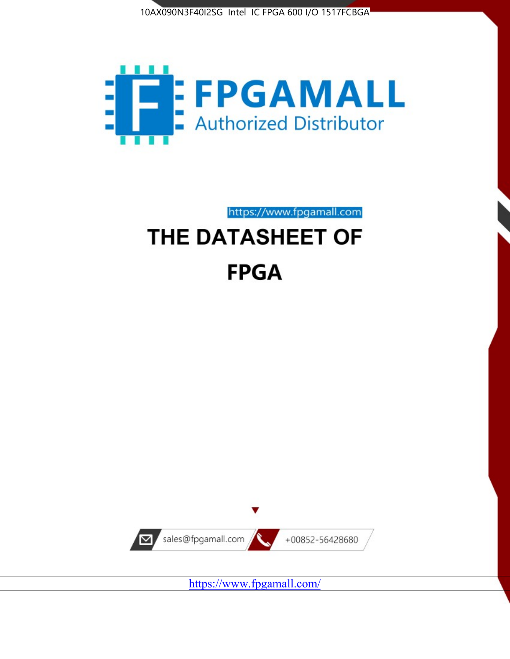



https://www.fpgamall.com THE DATASHEET OF

# **FPGA**



<https://www.fpgamall.com/>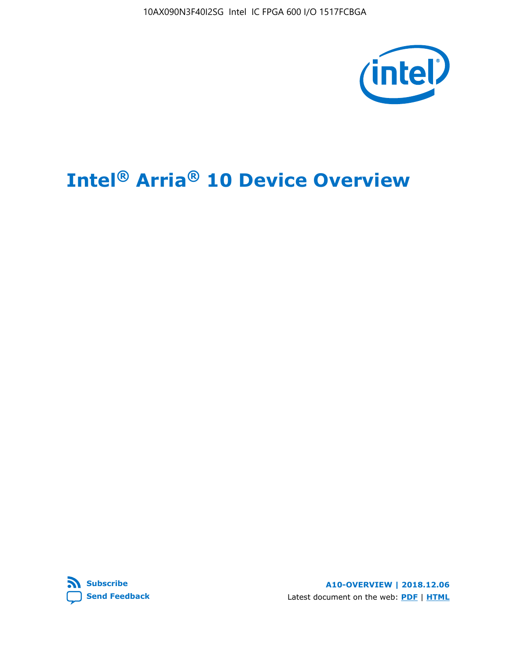10AX090N3F40I2SG Intel IC FPGA 600 I/O 1517FCBGA



# **Intel® Arria® 10 Device Overview**



**A10-OVERVIEW | 2018.12.06** Latest document on the web: **[PDF](https://www.intel.com/content/dam/www/programmable/us/en/pdfs/literature/hb/arria-10/a10_overview.pdf)** | **[HTML](https://www.intel.com/content/www/us/en/programmable/documentation/sam1403480274650.html)**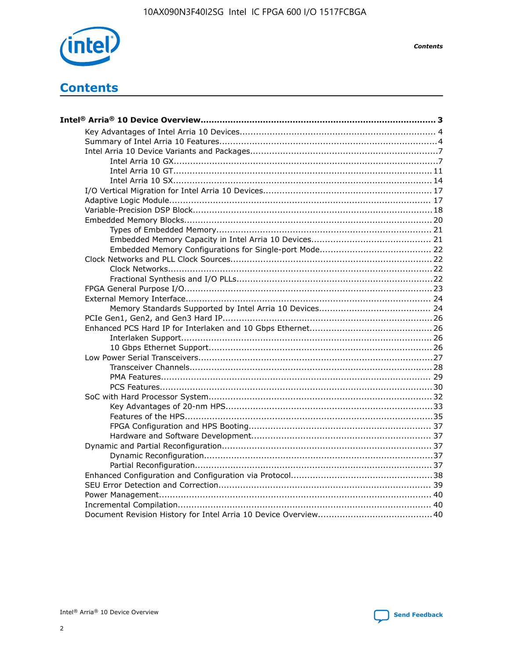

**Contents** 

# **Contents**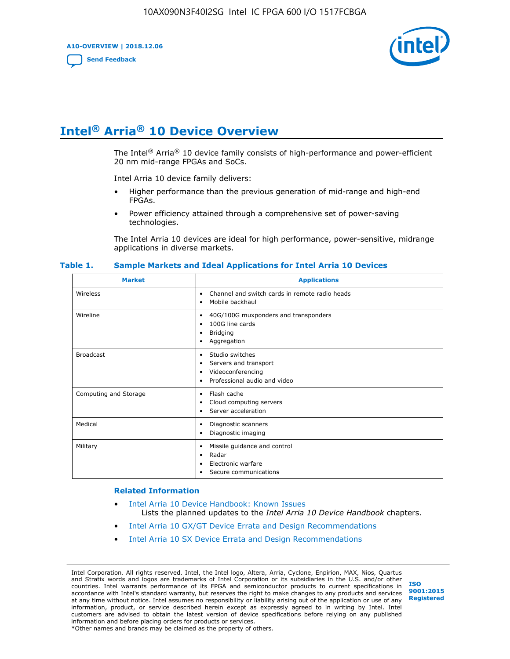**A10-OVERVIEW | 2018.12.06**

**[Send Feedback](mailto:FPGAtechdocfeedback@intel.com?subject=Feedback%20on%20Intel%20Arria%2010%20Device%20Overview%20(A10-OVERVIEW%202018.12.06)&body=We%20appreciate%20your%20feedback.%20In%20your%20comments,%20also%20specify%20the%20page%20number%20or%20paragraph.%20Thank%20you.)**



# **Intel® Arria® 10 Device Overview**

The Intel<sup>®</sup> Arria<sup>®</sup> 10 device family consists of high-performance and power-efficient 20 nm mid-range FPGAs and SoCs.

Intel Arria 10 device family delivers:

- Higher performance than the previous generation of mid-range and high-end FPGAs.
- Power efficiency attained through a comprehensive set of power-saving technologies.

The Intel Arria 10 devices are ideal for high performance, power-sensitive, midrange applications in diverse markets.

| <b>Market</b>         | <b>Applications</b>                                                                                               |
|-----------------------|-------------------------------------------------------------------------------------------------------------------|
| Wireless              | Channel and switch cards in remote radio heads<br>$\bullet$<br>Mobile backhaul<br>٠                               |
| Wireline              | 40G/100G muxponders and transponders<br>٠<br>100G line cards<br>٠<br><b>Bridging</b><br>٠<br>Aggregation<br>٠     |
| <b>Broadcast</b>      | Studio switches<br>٠<br>Servers and transport<br>٠<br>Videoconferencing<br>٠<br>Professional audio and video<br>٠ |
| Computing and Storage | Flash cache<br>٠<br>Cloud computing servers<br>٠<br>Server acceleration<br>٠                                      |
| Medical               | Diagnostic scanners<br>٠<br>Diagnostic imaging<br>٠                                                               |
| Military              | Missile guidance and control<br>٠<br>Radar<br>٠<br>Electronic warfare<br>٠<br>Secure communications<br>٠          |

#### **Table 1. Sample Markets and Ideal Applications for Intel Arria 10 Devices**

#### **Related Information**

- [Intel Arria 10 Device Handbook: Known Issues](http://www.altera.com/support/kdb/solutions/rd07302013_646.html) Lists the planned updates to the *Intel Arria 10 Device Handbook* chapters.
- [Intel Arria 10 GX/GT Device Errata and Design Recommendations](https://www.intel.com/content/www/us/en/programmable/documentation/agz1493851706374.html#yqz1494433888646)
- [Intel Arria 10 SX Device Errata and Design Recommendations](https://www.intel.com/content/www/us/en/programmable/documentation/cru1462832385668.html#cru1462832558642)

Intel Corporation. All rights reserved. Intel, the Intel logo, Altera, Arria, Cyclone, Enpirion, MAX, Nios, Quartus and Stratix words and logos are trademarks of Intel Corporation or its subsidiaries in the U.S. and/or other countries. Intel warrants performance of its FPGA and semiconductor products to current specifications in accordance with Intel's standard warranty, but reserves the right to make changes to any products and services at any time without notice. Intel assumes no responsibility or liability arising out of the application or use of any information, product, or service described herein except as expressly agreed to in writing by Intel. Intel customers are advised to obtain the latest version of device specifications before relying on any published information and before placing orders for products or services. \*Other names and brands may be claimed as the property of others.

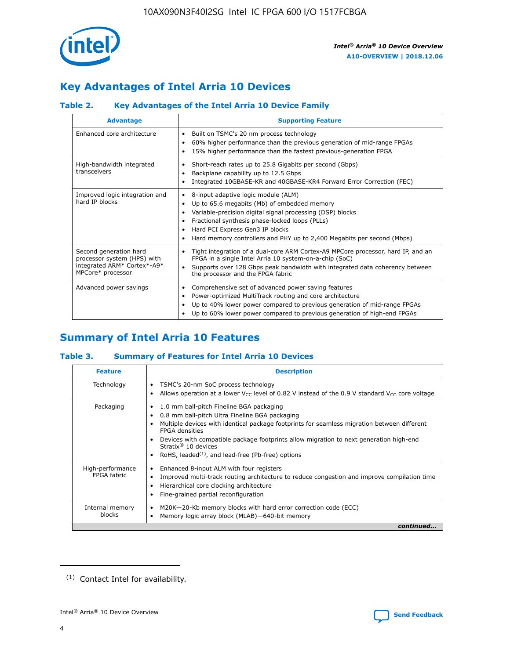

# **Key Advantages of Intel Arria 10 Devices**

# **Table 2. Key Advantages of the Intel Arria 10 Device Family**

| <b>Advantage</b>                                                                                          | <b>Supporting Feature</b>                                                                                                                                                                                                                                                                                                |  |  |  |  |  |  |
|-----------------------------------------------------------------------------------------------------------|--------------------------------------------------------------------------------------------------------------------------------------------------------------------------------------------------------------------------------------------------------------------------------------------------------------------------|--|--|--|--|--|--|
| Enhanced core architecture                                                                                | Built on TSMC's 20 nm process technology<br>٠<br>60% higher performance than the previous generation of mid-range FPGAs<br>٠<br>15% higher performance than the fastest previous-generation FPGA<br>٠                                                                                                                    |  |  |  |  |  |  |
| High-bandwidth integrated<br>transceivers                                                                 | Short-reach rates up to 25.8 Gigabits per second (Gbps)<br>٠<br>Backplane capability up to 12.5 Gbps<br>٠<br>Integrated 10GBASE-KR and 40GBASE-KR4 Forward Error Correction (FEC)<br>٠                                                                                                                                   |  |  |  |  |  |  |
| Improved logic integration and<br>hard IP blocks                                                          | 8-input adaptive logic module (ALM)<br>٠<br>Up to 65.6 megabits (Mb) of embedded memory<br>٠<br>Variable-precision digital signal processing (DSP) blocks<br>Fractional synthesis phase-locked loops (PLLs)<br>Hard PCI Express Gen3 IP blocks<br>Hard memory controllers and PHY up to 2,400 Megabits per second (Mbps) |  |  |  |  |  |  |
| Second generation hard<br>processor system (HPS) with<br>integrated ARM* Cortex*-A9*<br>MPCore* processor | Tight integration of a dual-core ARM Cortex-A9 MPCore processor, hard IP, and an<br>٠<br>FPGA in a single Intel Arria 10 system-on-a-chip (SoC)<br>Supports over 128 Gbps peak bandwidth with integrated data coherency between<br>$\bullet$<br>the processor and the FPGA fabric                                        |  |  |  |  |  |  |
| Advanced power savings                                                                                    | Comprehensive set of advanced power saving features<br>٠<br>Power-optimized MultiTrack routing and core architecture<br>٠<br>Up to 40% lower power compared to previous generation of mid-range FPGAs<br>Up to 60% lower power compared to previous generation of high-end FPGAs                                         |  |  |  |  |  |  |

# **Summary of Intel Arria 10 Features**

## **Table 3. Summary of Features for Intel Arria 10 Devices**

| <b>Feature</b>                  | <b>Description</b>                                                                                                                                                                                                                                                                                                                                                                                 |
|---------------------------------|----------------------------------------------------------------------------------------------------------------------------------------------------------------------------------------------------------------------------------------------------------------------------------------------------------------------------------------------------------------------------------------------------|
| Technology                      | TSMC's 20-nm SoC process technology<br>Allows operation at a lower $V_{\text{CC}}$ level of 0.82 V instead of the 0.9 V standard $V_{\text{CC}}$ core voltage                                                                                                                                                                                                                                      |
| Packaging                       | 1.0 mm ball-pitch Fineline BGA packaging<br>٠<br>0.8 mm ball-pitch Ultra Fineline BGA packaging<br>Multiple devices with identical package footprints for seamless migration between different<br><b>FPGA</b> densities<br>Devices with compatible package footprints allow migration to next generation high-end<br>Stratix $@10$ devices<br>RoHS, leaded $(1)$ , and lead-free (Pb-free) options |
| High-performance<br>FPGA fabric | Enhanced 8-input ALM with four registers<br>Improved multi-track routing architecture to reduce congestion and improve compilation time<br>Hierarchical core clocking architecture<br>Fine-grained partial reconfiguration                                                                                                                                                                         |
| Internal memory<br>blocks       | M20K-20-Kb memory blocks with hard error correction code (ECC)<br>Memory logic array block (MLAB)-640-bit memory                                                                                                                                                                                                                                                                                   |
|                                 | continued                                                                                                                                                                                                                                                                                                                                                                                          |



<sup>(1)</sup> Contact Intel for availability.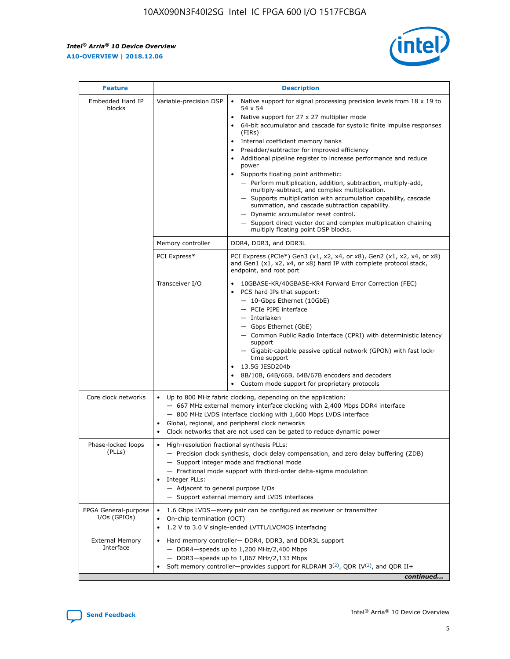r



| <b>Feature</b>                         |                                                                                                                | <b>Description</b>                                                                                                                                                                                                                                                                                                                                                                                                                                                                                                                                                                                                                                                                                                                                                                                                                                               |  |  |  |  |  |  |
|----------------------------------------|----------------------------------------------------------------------------------------------------------------|------------------------------------------------------------------------------------------------------------------------------------------------------------------------------------------------------------------------------------------------------------------------------------------------------------------------------------------------------------------------------------------------------------------------------------------------------------------------------------------------------------------------------------------------------------------------------------------------------------------------------------------------------------------------------------------------------------------------------------------------------------------------------------------------------------------------------------------------------------------|--|--|--|--|--|--|
| Embedded Hard IP<br>blocks             | Variable-precision DSP                                                                                         | Native support for signal processing precision levels from $18 \times 19$ to<br>$\bullet$<br>54 x 54<br>Native support for 27 x 27 multiplier mode<br>$\bullet$<br>64-bit accumulator and cascade for systolic finite impulse responses<br>(FIRs)<br>Internal coefficient memory banks<br>$\bullet$<br>Preadder/subtractor for improved efficiency<br>Additional pipeline register to increase performance and reduce<br>power<br>Supports floating point arithmetic:<br>- Perform multiplication, addition, subtraction, multiply-add,<br>multiply-subtract, and complex multiplication.<br>- Supports multiplication with accumulation capability, cascade<br>summation, and cascade subtraction capability.<br>- Dynamic accumulator reset control.<br>- Support direct vector dot and complex multiplication chaining<br>multiply floating point DSP blocks. |  |  |  |  |  |  |
|                                        | Memory controller                                                                                              | DDR4, DDR3, and DDR3L                                                                                                                                                                                                                                                                                                                                                                                                                                                                                                                                                                                                                                                                                                                                                                                                                                            |  |  |  |  |  |  |
|                                        | PCI Express*                                                                                                   | PCI Express (PCIe*) Gen3 (x1, x2, x4, or x8), Gen2 (x1, x2, x4, or x8)<br>and Gen1 (x1, x2, x4, or x8) hard IP with complete protocol stack,<br>endpoint, and root port                                                                                                                                                                                                                                                                                                                                                                                                                                                                                                                                                                                                                                                                                          |  |  |  |  |  |  |
|                                        | Transceiver I/O                                                                                                | 10GBASE-KR/40GBASE-KR4 Forward Error Correction (FEC)<br>PCS hard IPs that support:<br>- 10-Gbps Ethernet (10GbE)<br>- PCIe PIPE interface<br>- Interlaken<br>- Gbps Ethernet (GbE)<br>- Common Public Radio Interface (CPRI) with deterministic latency<br>support<br>- Gigabit-capable passive optical network (GPON) with fast lock-<br>time support<br>13.5G JESD204b<br>$\bullet$<br>8B/10B, 64B/66B, 64B/67B encoders and decoders<br>Custom mode support for proprietary protocols                                                                                                                                                                                                                                                                                                                                                                        |  |  |  |  |  |  |
| Core clock networks                    | $\bullet$                                                                                                      | Up to 800 MHz fabric clocking, depending on the application:<br>- 667 MHz external memory interface clocking with 2,400 Mbps DDR4 interface<br>- 800 MHz LVDS interface clocking with 1,600 Mbps LVDS interface<br>Global, regional, and peripheral clock networks<br>Clock networks that are not used can be gated to reduce dynamic power                                                                                                                                                                                                                                                                                                                                                                                                                                                                                                                      |  |  |  |  |  |  |
| Phase-locked loops<br>(PLLs)           | High-resolution fractional synthesis PLLs:<br>$\bullet$<br>Integer PLLs:<br>- Adjacent to general purpose I/Os | - Precision clock synthesis, clock delay compensation, and zero delay buffering (ZDB)<br>- Support integer mode and fractional mode<br>- Fractional mode support with third-order delta-sigma modulation<br>- Support external memory and LVDS interfaces                                                                                                                                                                                                                                                                                                                                                                                                                                                                                                                                                                                                        |  |  |  |  |  |  |
| FPGA General-purpose<br>$I/Os$ (GPIOs) | On-chip termination (OCT)<br>٠<br>$\bullet$                                                                    | 1.6 Gbps LVDS-every pair can be configured as receiver or transmitter                                                                                                                                                                                                                                                                                                                                                                                                                                                                                                                                                                                                                                                                                                                                                                                            |  |  |  |  |  |  |
| <b>External Memory</b><br>Interface    | $\bullet$                                                                                                      | 1.2 V to 3.0 V single-ended LVTTL/LVCMOS interfacing<br>Hard memory controller- DDR4, DDR3, and DDR3L support<br>$-$ DDR4-speeds up to 1,200 MHz/2,400 Mbps<br>- DDR3-speeds up to 1,067 MHz/2,133 Mbps<br>Soft memory controller—provides support for RLDRAM $3^{(2)}$ , QDR IV $^{(2)}$ , and QDR II+<br>continued                                                                                                                                                                                                                                                                                                                                                                                                                                                                                                                                             |  |  |  |  |  |  |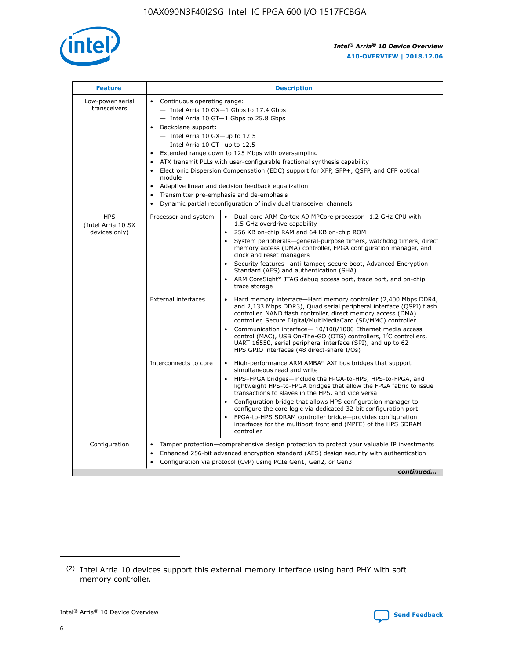

| <b>Feature</b>                                    | <b>Description</b>                                                                                                                                                                                                                                                                                                                                                                                                                                                                                                                                                                                                                         |  |  |  |  |  |  |
|---------------------------------------------------|--------------------------------------------------------------------------------------------------------------------------------------------------------------------------------------------------------------------------------------------------------------------------------------------------------------------------------------------------------------------------------------------------------------------------------------------------------------------------------------------------------------------------------------------------------------------------------------------------------------------------------------------|--|--|--|--|--|--|
| Low-power serial<br>transceivers                  | • Continuous operating range:<br>- Intel Arria 10 GX-1 Gbps to 17.4 Gbps<br>- Intel Arria 10 GT-1 Gbps to 25.8 Gbps<br>Backplane support:<br>$-$ Intel Arria 10 GX-up to 12.5<br>- Intel Arria 10 GT-up to 12.5<br>Extended range down to 125 Mbps with oversampling<br>ATX transmit PLLs with user-configurable fractional synthesis capability<br>Electronic Dispersion Compensation (EDC) support for XFP, SFP+, QSFP, and CFP optical<br>module<br>• Adaptive linear and decision feedback equalization<br>Transmitter pre-emphasis and de-emphasis<br>$\bullet$<br>Dynamic partial reconfiguration of individual transceiver channels |  |  |  |  |  |  |
| <b>HPS</b><br>(Intel Arria 10 SX<br>devices only) | Dual-core ARM Cortex-A9 MPCore processor-1.2 GHz CPU with<br>Processor and system<br>$\bullet$<br>1.5 GHz overdrive capability<br>256 KB on-chip RAM and 64 KB on-chip ROM<br>System peripherals-general-purpose timers, watchdog timers, direct<br>memory access (DMA) controller, FPGA configuration manager, and<br>clock and reset managers<br>Security features-anti-tamper, secure boot, Advanced Encryption<br>$\bullet$<br>Standard (AES) and authentication (SHA)<br>ARM CoreSight* JTAG debug access port, trace port, and on-chip<br>trace storage                                                                              |  |  |  |  |  |  |
|                                                   | <b>External interfaces</b><br>Hard memory interface-Hard memory controller (2,400 Mbps DDR4,<br>$\bullet$<br>and 2,133 Mbps DDR3), Quad serial peripheral interface (QSPI) flash<br>controller, NAND flash controller, direct memory access (DMA)<br>controller, Secure Digital/MultiMediaCard (SD/MMC) controller<br>Communication interface-10/100/1000 Ethernet media access<br>$\bullet$<br>control (MAC), USB On-The-GO (OTG) controllers, I <sup>2</sup> C controllers,<br>UART 16550, serial peripheral interface (SPI), and up to 62<br>HPS GPIO interfaces (48 direct-share I/Os)                                                 |  |  |  |  |  |  |
|                                                   | High-performance ARM AMBA* AXI bus bridges that support<br>Interconnects to core<br>$\bullet$<br>simultaneous read and write<br>HPS-FPGA bridges-include the FPGA-to-HPS, HPS-to-FPGA, and<br>$\bullet$<br>lightweight HPS-to-FPGA bridges that allow the FPGA fabric to issue<br>transactions to slaves in the HPS, and vice versa<br>Configuration bridge that allows HPS configuration manager to<br>configure the core logic via dedicated 32-bit configuration port<br>FPGA-to-HPS SDRAM controller bridge-provides configuration<br>interfaces for the multiport front end (MPFE) of the HPS SDRAM<br>controller                     |  |  |  |  |  |  |
| Configuration                                     | Tamper protection—comprehensive design protection to protect your valuable IP investments<br>Enhanced 256-bit advanced encryption standard (AES) design security with authentication<br>٠<br>Configuration via protocol (CvP) using PCIe Gen1, Gen2, or Gen3<br>continued                                                                                                                                                                                                                                                                                                                                                                  |  |  |  |  |  |  |

<sup>(2)</sup> Intel Arria 10 devices support this external memory interface using hard PHY with soft memory controller.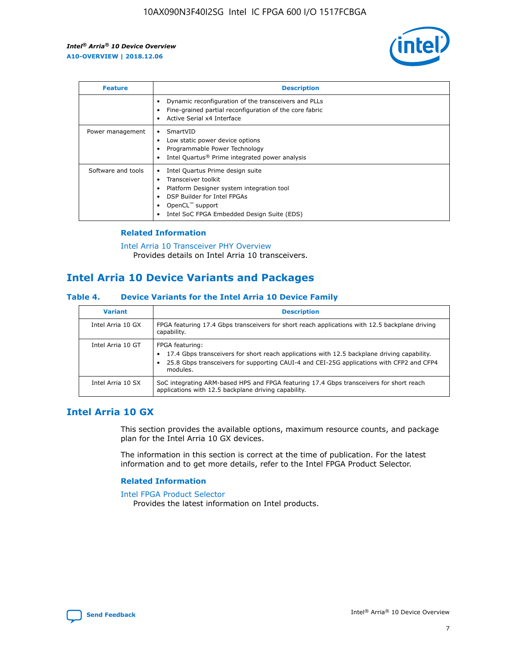

| <b>Feature</b>     | <b>Description</b>                                                                                                                                                                                                            |
|--------------------|-------------------------------------------------------------------------------------------------------------------------------------------------------------------------------------------------------------------------------|
|                    | Dynamic reconfiguration of the transceivers and PLLs<br>Fine-grained partial reconfiguration of the core fabric<br>Active Serial x4 Interface<br>$\bullet$                                                                    |
| Power management   | SmartVID<br>Low static power device options<br>Programmable Power Technology<br>Intel Quartus <sup>®</sup> Prime integrated power analysis                                                                                    |
| Software and tools | Intel Quartus Prime design suite<br>Transceiver toolkit<br>$\bullet$<br>Platform Designer system integration tool<br>DSP Builder for Intel FPGAs<br>OpenCL <sup>™</sup> support<br>Intel SoC FPGA Embedded Design Suite (EDS) |

## **Related Information**

[Intel Arria 10 Transceiver PHY Overview](https://www.intel.com/content/www/us/en/programmable/documentation/nik1398707230472.html#nik1398706768037) Provides details on Intel Arria 10 transceivers.

# **Intel Arria 10 Device Variants and Packages**

#### **Table 4. Device Variants for the Intel Arria 10 Device Family**

| <b>Variant</b>    | <b>Description</b>                                                                                                                                                                                                     |
|-------------------|------------------------------------------------------------------------------------------------------------------------------------------------------------------------------------------------------------------------|
| Intel Arria 10 GX | FPGA featuring 17.4 Gbps transceivers for short reach applications with 12.5 backplane driving<br>capability.                                                                                                          |
| Intel Arria 10 GT | FPGA featuring:<br>17.4 Gbps transceivers for short reach applications with 12.5 backplane driving capability.<br>25.8 Gbps transceivers for supporting CAUI-4 and CEI-25G applications with CFP2 and CFP4<br>modules. |
| Intel Arria 10 SX | SoC integrating ARM-based HPS and FPGA featuring 17.4 Gbps transceivers for short reach<br>applications with 12.5 backplane driving capability.                                                                        |

# **Intel Arria 10 GX**

This section provides the available options, maximum resource counts, and package plan for the Intel Arria 10 GX devices.

The information in this section is correct at the time of publication. For the latest information and to get more details, refer to the Intel FPGA Product Selector.

#### **Related Information**

#### [Intel FPGA Product Selector](http://www.altera.com/products/selector/psg-selector.html) Provides the latest information on Intel products.

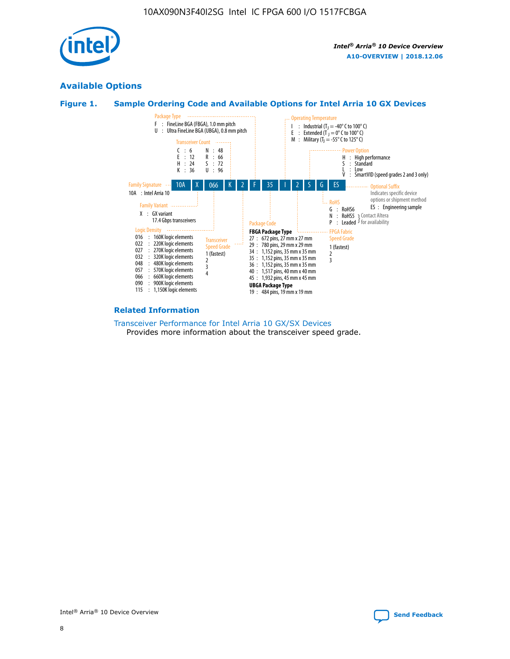

# **Available Options**





#### **Related Information**

[Transceiver Performance for Intel Arria 10 GX/SX Devices](https://www.intel.com/content/www/us/en/programmable/documentation/mcn1413182292568.html#mcn1413213965502) Provides more information about the transceiver speed grade.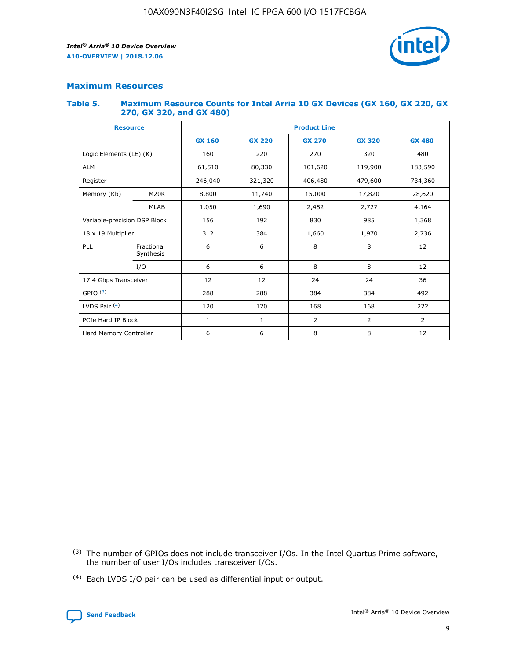

## **Maximum Resources**

#### **Table 5. Maximum Resource Counts for Intel Arria 10 GX Devices (GX 160, GX 220, GX 270, GX 320, and GX 480)**

| <b>Resource</b>         |                              | <b>Product Line</b> |                                |                |                |                |  |  |  |
|-------------------------|------------------------------|---------------------|--------------------------------|----------------|----------------|----------------|--|--|--|
|                         |                              | <b>GX 160</b>       | <b>GX 220</b><br><b>GX 270</b> |                | <b>GX 320</b>  | <b>GX 480</b>  |  |  |  |
| Logic Elements (LE) (K) |                              | 160                 | 220                            | 270            | 320            | 480            |  |  |  |
| <b>ALM</b>              |                              | 61,510              | 80,330                         | 101,620        | 119,900        | 183,590        |  |  |  |
| Register                |                              | 246,040             | 321,320                        | 406,480        | 479,600        | 734,360        |  |  |  |
| Memory (Kb)             | M <sub>20</sub> K            | 8,800               | 11,740                         | 15,000         | 17,820         | 28,620         |  |  |  |
|                         | <b>MLAB</b>                  | 1,050               | 1,690                          | 2,452          | 2,727          | 4,164          |  |  |  |
|                         | Variable-precision DSP Block |                     | 192                            | 985<br>830     |                | 1,368          |  |  |  |
| 18 x 19 Multiplier      |                              | 312                 | 384                            | 1,660<br>1,970 |                | 2,736          |  |  |  |
| PLL                     | Fractional<br>Synthesis      | 6                   | 6                              | 8              | 8              | 12             |  |  |  |
|                         | I/O                          | 6                   | 6                              | 8              | 8              | 12             |  |  |  |
| 17.4 Gbps Transceiver   |                              | 12                  | 12                             | 24             | 24             | 36             |  |  |  |
| GPIO <sup>(3)</sup>     |                              | 288                 | 288                            | 384            | 384            | 492            |  |  |  |
| LVDS Pair $(4)$         |                              | 120                 | 120                            | 168            | 168            | 222            |  |  |  |
| PCIe Hard IP Block      |                              | $\mathbf{1}$        | 1                              | $\overline{2}$ | $\overline{2}$ | $\overline{2}$ |  |  |  |
| Hard Memory Controller  |                              | 6                   | 6                              | 8              | 8              | 12             |  |  |  |

<sup>(4)</sup> Each LVDS I/O pair can be used as differential input or output.



<sup>(3)</sup> The number of GPIOs does not include transceiver I/Os. In the Intel Quartus Prime software, the number of user I/Os includes transceiver I/Os.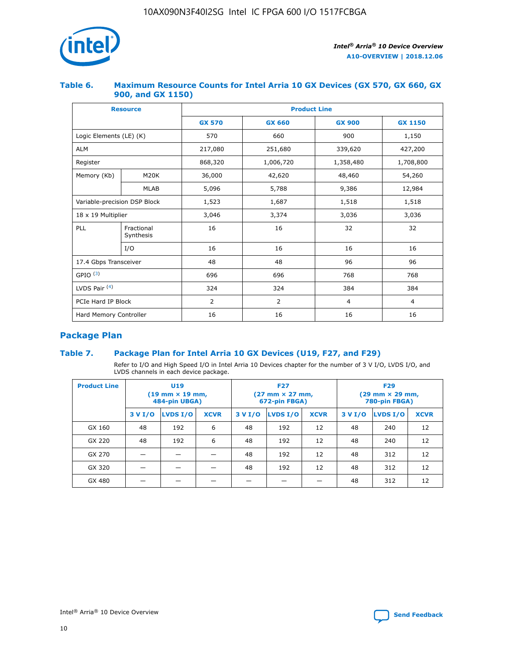

## **Table 6. Maximum Resource Counts for Intel Arria 10 GX Devices (GX 570, GX 660, GX 900, and GX 1150)**

|                              | <b>Resource</b>         | <b>Product Line</b> |                |                |                |  |  |  |
|------------------------------|-------------------------|---------------------|----------------|----------------|----------------|--|--|--|
|                              |                         | <b>GX 570</b>       | <b>GX 660</b>  | <b>GX 900</b>  | <b>GX 1150</b> |  |  |  |
| Logic Elements (LE) (K)      |                         | 570                 | 660            | 900            | 1,150          |  |  |  |
| <b>ALM</b>                   |                         | 217,080             | 251,680        | 339,620        | 427,200        |  |  |  |
| Register                     |                         | 868,320             | 1,006,720      | 1,358,480      | 1,708,800      |  |  |  |
| Memory (Kb)                  | <b>M20K</b>             | 36,000              | 42,620         | 48,460         | 54,260         |  |  |  |
|                              | <b>MLAB</b>             | 5,096               | 5,788          | 9,386          | 12,984         |  |  |  |
| Variable-precision DSP Block |                         | 1,523               | 1,687          | 1,518          | 1,518          |  |  |  |
| $18 \times 19$ Multiplier    |                         | 3,046               | 3,374          | 3,036          | 3,036          |  |  |  |
| PLL                          | Fractional<br>Synthesis | 16                  | 16             | 32             | 32             |  |  |  |
|                              | I/O                     | 16                  | 16             | 16             | 16             |  |  |  |
| 17.4 Gbps Transceiver        |                         | 48                  | 48             |                | 96             |  |  |  |
| GPIO <sup>(3)</sup>          |                         | 696                 | 696            | 768            | 768            |  |  |  |
| LVDS Pair $(4)$              |                         | 324                 | 324<br>384     |                | 384            |  |  |  |
| PCIe Hard IP Block           |                         | 2                   | $\overline{2}$ | $\overline{4}$ | 4              |  |  |  |
| Hard Memory Controller       |                         | 16                  | 16             | 16             | 16             |  |  |  |

# **Package Plan**

# **Table 7. Package Plan for Intel Arria 10 GX Devices (U19, F27, and F29)**

Refer to I/O and High Speed I/O in Intel Arria 10 Devices chapter for the number of 3 V I/O, LVDS I/O, and LVDS channels in each device package.

| <b>Product Line</b> | U <sub>19</sub><br>$(19 \text{ mm} \times 19 \text{ mm})$<br>484-pin UBGA) |          |             |         | <b>F27</b><br>(27 mm × 27 mm,<br>672-pin FBGA) |             | <b>F29</b><br>(29 mm × 29 mm,<br>780-pin FBGA) |          |             |  |
|---------------------|----------------------------------------------------------------------------|----------|-------------|---------|------------------------------------------------|-------------|------------------------------------------------|----------|-------------|--|
|                     | 3 V I/O                                                                    | LVDS I/O | <b>XCVR</b> | 3 V I/O | LVDS I/O                                       | <b>XCVR</b> | 3 V I/O                                        | LVDS I/O | <b>XCVR</b> |  |
| GX 160              | 48                                                                         | 192      | 6           | 48      | 192                                            | 12          | 48                                             | 240      | 12          |  |
| GX 220              | 48                                                                         | 192      | 6           | 48      | 192                                            | 12          | 48                                             | 240      | 12          |  |
| GX 270              |                                                                            |          |             | 48      | 192                                            | 12          | 48                                             | 312      | 12          |  |
| GX 320              |                                                                            |          |             | 48      | 192                                            | 12          | 48                                             | 312      | 12          |  |
| GX 480              |                                                                            |          |             |         |                                                |             | 48                                             | 312      | 12          |  |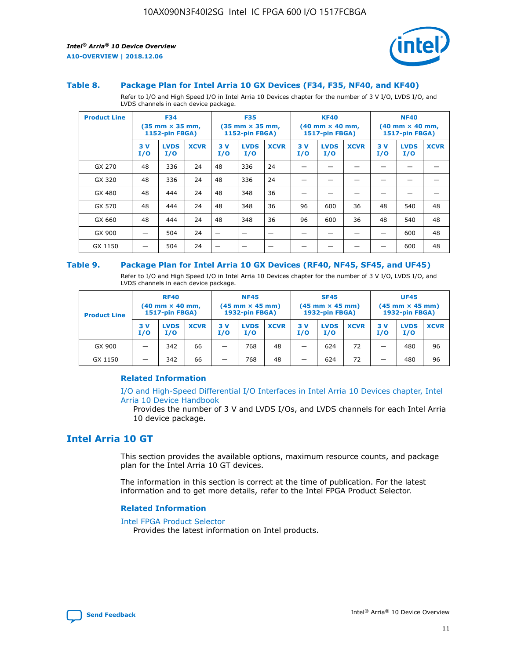

#### **Table 8. Package Plan for Intel Arria 10 GX Devices (F34, F35, NF40, and KF40)**

Refer to I/O and High Speed I/O in Intel Arria 10 Devices chapter for the number of 3 V I/O, LVDS I/O, and LVDS channels in each device package.

| <b>Product Line</b> | <b>F34</b><br>$(35 \text{ mm} \times 35 \text{ mm})$<br><b>1152-pin FBGA)</b> |                    | <b>F35</b><br>$(35 \text{ mm} \times 35 \text{ mm})$<br><b>1152-pin FBGA)</b> |           | <b>KF40</b><br>$(40$ mm $\times$ 40 mm,<br><b>1517-pin FBGA)</b> |             |           | <b>NF40</b><br>$(40 \text{ mm} \times 40 \text{ mm})$<br>1517-pin FBGA) |             |           |                    |             |
|---------------------|-------------------------------------------------------------------------------|--------------------|-------------------------------------------------------------------------------|-----------|------------------------------------------------------------------|-------------|-----------|-------------------------------------------------------------------------|-------------|-----------|--------------------|-------------|
|                     | 3V<br>I/O                                                                     | <b>LVDS</b><br>I/O | <b>XCVR</b>                                                                   | 3V<br>I/O | <b>LVDS</b><br>I/O                                               | <b>XCVR</b> | 3V<br>I/O | <b>LVDS</b><br>I/O                                                      | <b>XCVR</b> | 3V<br>I/O | <b>LVDS</b><br>I/O | <b>XCVR</b> |
| GX 270              | 48                                                                            | 336                | 24                                                                            | 48        | 336                                                              | 24          |           |                                                                         |             |           |                    |             |
| GX 320              | 48                                                                            | 336                | 24                                                                            | 48        | 336                                                              | 24          |           |                                                                         |             |           |                    |             |
| GX 480              | 48                                                                            | 444                | 24                                                                            | 48        | 348                                                              | 36          |           |                                                                         |             |           |                    |             |
| GX 570              | 48                                                                            | 444                | 24                                                                            | 48        | 348                                                              | 36          | 96        | 600                                                                     | 36          | 48        | 540                | 48          |
| GX 660              | 48                                                                            | 444                | 24                                                                            | 48        | 348                                                              | 36          | 96        | 600                                                                     | 36          | 48        | 540                | 48          |
| GX 900              |                                                                               | 504                | 24                                                                            | –         |                                                                  | -           |           |                                                                         |             |           | 600                | 48          |
| GX 1150             |                                                                               | 504                | 24                                                                            |           |                                                                  |             |           |                                                                         |             |           | 600                | 48          |

#### **Table 9. Package Plan for Intel Arria 10 GX Devices (RF40, NF45, SF45, and UF45)**

Refer to I/O and High Speed I/O in Intel Arria 10 Devices chapter for the number of 3 V I/O, LVDS I/O, and LVDS channels in each device package.

| <b>Product Line</b> | <b>RF40</b><br>$(40$ mm $\times$ 40 mm,<br>1517-pin FBGA) |                    | <b>NF45</b><br>$(45 \text{ mm} \times 45 \text{ mm})$<br><b>1932-pin FBGA)</b> |            |                    | <b>SF45</b><br>$(45 \text{ mm} \times 45 \text{ mm})$<br><b>1932-pin FBGA)</b> |            |                    | <b>UF45</b><br>$(45 \text{ mm} \times 45 \text{ mm})$<br><b>1932-pin FBGA)</b> |           |                    |             |
|---------------------|-----------------------------------------------------------|--------------------|--------------------------------------------------------------------------------|------------|--------------------|--------------------------------------------------------------------------------|------------|--------------------|--------------------------------------------------------------------------------|-----------|--------------------|-------------|
|                     | 3V<br>I/O                                                 | <b>LVDS</b><br>I/O | <b>XCVR</b>                                                                    | 3 V<br>I/O | <b>LVDS</b><br>I/O | <b>XCVR</b>                                                                    | 3 V<br>I/O | <b>LVDS</b><br>I/O | <b>XCVR</b>                                                                    | 3V<br>I/O | <b>LVDS</b><br>I/O | <b>XCVR</b> |
| GX 900              |                                                           | 342                | 66                                                                             | _          | 768                | 48                                                                             |            | 624                | 72                                                                             |           | 480                | 96          |
| GX 1150             |                                                           | 342                | 66                                                                             | _          | 768                | 48                                                                             |            | 624                | 72                                                                             |           | 480                | 96          |

#### **Related Information**

[I/O and High-Speed Differential I/O Interfaces in Intel Arria 10 Devices chapter, Intel](https://www.intel.com/content/www/us/en/programmable/documentation/sam1403482614086.html#sam1403482030321) [Arria 10 Device Handbook](https://www.intel.com/content/www/us/en/programmable/documentation/sam1403482614086.html#sam1403482030321)

Provides the number of 3 V and LVDS I/Os, and LVDS channels for each Intel Arria 10 device package.

# **Intel Arria 10 GT**

This section provides the available options, maximum resource counts, and package plan for the Intel Arria 10 GT devices.

The information in this section is correct at the time of publication. For the latest information and to get more details, refer to the Intel FPGA Product Selector.

#### **Related Information**

#### [Intel FPGA Product Selector](http://www.altera.com/products/selector/psg-selector.html)

Provides the latest information on Intel products.

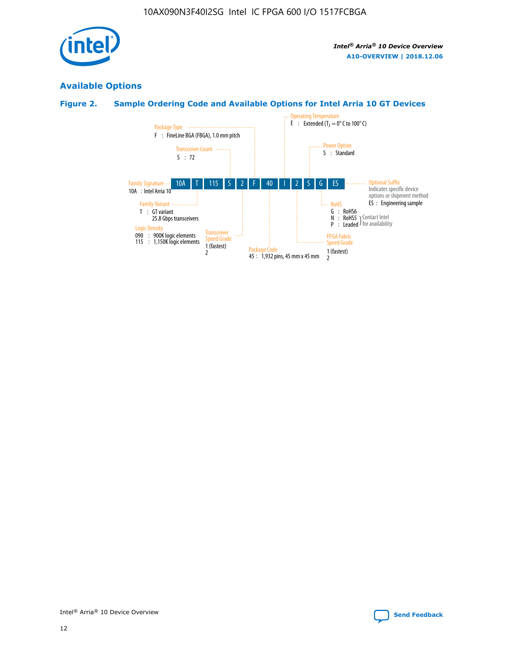

# **Available Options**

# **Figure 2. Sample Ordering Code and Available Options for Intel Arria 10 GT Devices**

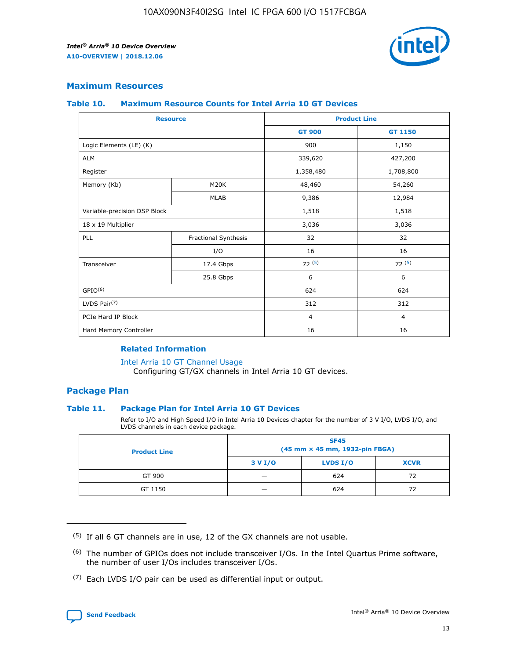

## **Maximum Resources**

#### **Table 10. Maximum Resource Counts for Intel Arria 10 GT Devices**

| <b>Resource</b>              |                      |                | <b>Product Line</b> |  |
|------------------------------|----------------------|----------------|---------------------|--|
|                              |                      | <b>GT 900</b>  | <b>GT 1150</b>      |  |
| Logic Elements (LE) (K)      |                      | 900            | 1,150               |  |
| <b>ALM</b>                   |                      | 339,620        | 427,200             |  |
| Register                     |                      | 1,358,480      | 1,708,800           |  |
| Memory (Kb)                  | M <sub>20</sub> K    | 48,460         | 54,260              |  |
|                              | <b>MLAB</b>          | 9,386          | 12,984              |  |
| Variable-precision DSP Block |                      | 1,518          | 1,518               |  |
| 18 x 19 Multiplier           |                      | 3,036          | 3,036               |  |
| PLL                          | Fractional Synthesis | 32             | 32                  |  |
|                              | I/O                  | 16             | 16                  |  |
| Transceiver                  | 17.4 Gbps            | 72(5)          | 72(5)               |  |
|                              | 25.8 Gbps            | 6              | 6                   |  |
| GPIO <sup>(6)</sup>          |                      | 624            | 624                 |  |
| LVDS Pair $(7)$              |                      | 312            | 312                 |  |
| PCIe Hard IP Block           |                      | $\overline{4}$ | $\overline{4}$      |  |
| Hard Memory Controller       |                      | 16             | 16                  |  |

#### **Related Information**

#### [Intel Arria 10 GT Channel Usage](https://www.intel.com/content/www/us/en/programmable/documentation/nik1398707230472.html#nik1398707008178)

Configuring GT/GX channels in Intel Arria 10 GT devices.

## **Package Plan**

#### **Table 11. Package Plan for Intel Arria 10 GT Devices**

Refer to I/O and High Speed I/O in Intel Arria 10 Devices chapter for the number of 3 V I/O, LVDS I/O, and LVDS channels in each device package.

| <b>Product Line</b> | <b>SF45</b><br>(45 mm × 45 mm, 1932-pin FBGA) |                 |             |  |  |  |
|---------------------|-----------------------------------------------|-----------------|-------------|--|--|--|
|                     | 3 V I/O                                       | <b>LVDS I/O</b> | <b>XCVR</b> |  |  |  |
| GT 900              |                                               | 624             | 72          |  |  |  |
| GT 1150             |                                               | 624             |             |  |  |  |

<sup>(7)</sup> Each LVDS I/O pair can be used as differential input or output.



 $(5)$  If all 6 GT channels are in use, 12 of the GX channels are not usable.

<sup>(6)</sup> The number of GPIOs does not include transceiver I/Os. In the Intel Quartus Prime software, the number of user I/Os includes transceiver I/Os.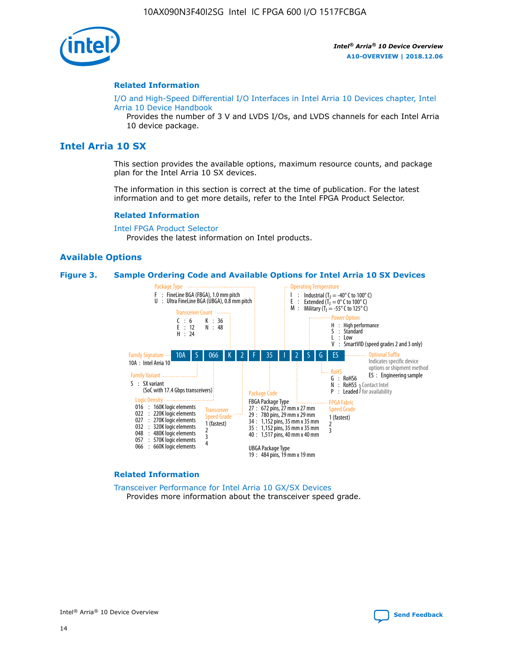

#### **Related Information**

[I/O and High-Speed Differential I/O Interfaces in Intel Arria 10 Devices chapter, Intel](https://www.intel.com/content/www/us/en/programmable/documentation/sam1403482614086.html#sam1403482030321) [Arria 10 Device Handbook](https://www.intel.com/content/www/us/en/programmable/documentation/sam1403482614086.html#sam1403482030321)

Provides the number of 3 V and LVDS I/Os, and LVDS channels for each Intel Arria 10 device package.

# **Intel Arria 10 SX**

This section provides the available options, maximum resource counts, and package plan for the Intel Arria 10 SX devices.

The information in this section is correct at the time of publication. For the latest information and to get more details, refer to the Intel FPGA Product Selector.

#### **Related Information**

[Intel FPGA Product Selector](http://www.altera.com/products/selector/psg-selector.html) Provides the latest information on Intel products.

#### **Available Options**

#### **Figure 3. Sample Ordering Code and Available Options for Intel Arria 10 SX Devices**



#### **Related Information**

[Transceiver Performance for Intel Arria 10 GX/SX Devices](https://www.intel.com/content/www/us/en/programmable/documentation/mcn1413182292568.html#mcn1413213965502) Provides more information about the transceiver speed grade.

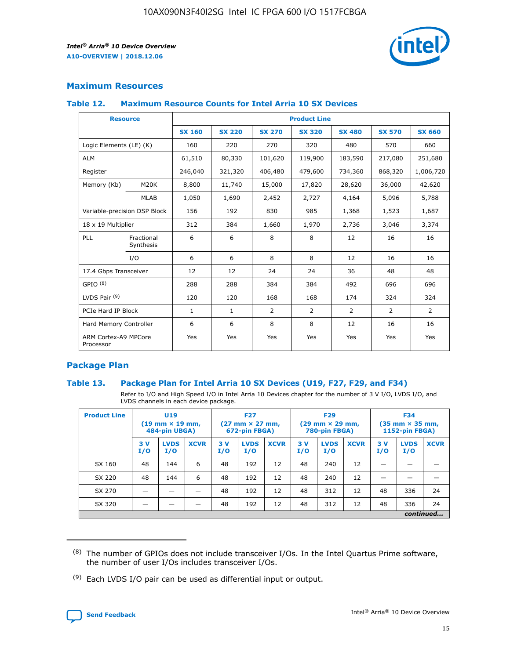

# **Maximum Resources**

#### **Table 12. Maximum Resource Counts for Intel Arria 10 SX Devices**

| <b>Resource</b>                   |                         | <b>Product Line</b> |               |                |                |                |                |                |  |  |  |
|-----------------------------------|-------------------------|---------------------|---------------|----------------|----------------|----------------|----------------|----------------|--|--|--|
|                                   |                         | <b>SX 160</b>       | <b>SX 220</b> | <b>SX 270</b>  | <b>SX 320</b>  | <b>SX 480</b>  | <b>SX 570</b>  | <b>SX 660</b>  |  |  |  |
| Logic Elements (LE) (K)           |                         | 160                 | 220           | 270            | 320            | 480            | 570            | 660            |  |  |  |
| <b>ALM</b>                        |                         | 61,510              | 80,330        | 101,620        | 119,900        | 183,590        | 217,080        | 251,680        |  |  |  |
| Register                          |                         | 246,040             | 321,320       | 406,480        | 479,600        | 734,360        | 868,320        | 1,006,720      |  |  |  |
| Memory (Kb)                       | M <sub>20</sub> K       | 8,800               | 11,740        | 15,000         | 17,820         | 28,620         | 36,000         | 42,620         |  |  |  |
|                                   | <b>MLAB</b>             | 1,050               | 1,690         | 2,452          | 2,727          | 4,164          | 5,096          | 5,788          |  |  |  |
| Variable-precision DSP Block      |                         | 156                 | 192           | 830            | 985            | 1,368          | 1,523          | 1,687          |  |  |  |
| 18 x 19 Multiplier                |                         | 312                 | 384           | 1,660          | 1,970          | 2,736          | 3,046          | 3,374          |  |  |  |
| PLL                               | Fractional<br>Synthesis | 6                   | 6             | 8              | 8              | 12             | 16             | 16             |  |  |  |
|                                   | I/O                     | 6                   | 6             | 8              | 8              | 12             | 16             | 16             |  |  |  |
| 17.4 Gbps Transceiver             |                         | 12                  | 12            | 24             | 24             | 36             | 48             | 48             |  |  |  |
| GPIO <sup>(8)</sup>               |                         | 288                 | 288           | 384            | 384            | 492            | 696            | 696            |  |  |  |
| LVDS Pair $(9)$                   |                         | 120                 | 120           | 168            | 168            | 174            | 324            | 324            |  |  |  |
| PCIe Hard IP Block                |                         | $\mathbf{1}$        | $\mathbf{1}$  | $\overline{2}$ | $\overline{2}$ | $\overline{2}$ | $\overline{2}$ | $\overline{2}$ |  |  |  |
| Hard Memory Controller            |                         | 6                   | 6             | 8              | 8              | 12             | 16             | 16             |  |  |  |
| ARM Cortex-A9 MPCore<br>Processor |                         | Yes                 | Yes           | Yes            | Yes            | Yes            | Yes            | <b>Yes</b>     |  |  |  |

# **Package Plan**

#### **Table 13. Package Plan for Intel Arria 10 SX Devices (U19, F27, F29, and F34)**

Refer to I/O and High Speed I/O in Intel Arria 10 Devices chapter for the number of 3 V I/O, LVDS I/O, and LVDS channels in each device package.

| <b>Product Line</b> | U <sub>19</sub><br>$(19 \text{ mm} \times 19 \text{ mm})$<br>484-pin UBGA) |                    | <b>F27</b><br>$(27 \text{ mm} \times 27 \text{ mm})$<br>672-pin FBGA) |           | <b>F29</b><br>$(29 \text{ mm} \times 29 \text{ mm})$<br>780-pin FBGA) |             |            | <b>F34</b><br>$(35 \text{ mm} \times 35 \text{ mm})$<br><b>1152-pin FBGA)</b> |             |           |                    |             |
|---------------------|----------------------------------------------------------------------------|--------------------|-----------------------------------------------------------------------|-----------|-----------------------------------------------------------------------|-------------|------------|-------------------------------------------------------------------------------|-------------|-----------|--------------------|-------------|
|                     | 3V<br>I/O                                                                  | <b>LVDS</b><br>I/O | <b>XCVR</b>                                                           | 3V<br>I/O | <b>LVDS</b><br>I/O                                                    | <b>XCVR</b> | 3 V<br>I/O | <b>LVDS</b><br>I/O                                                            | <b>XCVR</b> | 3V<br>I/O | <b>LVDS</b><br>I/O | <b>XCVR</b> |
| SX 160              | 48                                                                         | 144                | 6                                                                     | 48        | 192                                                                   | 12          | 48         | 240                                                                           | 12          | –         |                    |             |
| SX 220              | 48                                                                         | 144                | 6                                                                     | 48        | 192                                                                   | 12          | 48         | 240                                                                           | 12          |           |                    |             |
| SX 270              |                                                                            |                    |                                                                       | 48        | 192                                                                   | 12          | 48         | 312                                                                           | 12          | 48        | 336                | 24          |
| SX 320              |                                                                            |                    |                                                                       | 48        | 192                                                                   | 12          | 48         | 312                                                                           | 12          | 48        | 336                | 24          |
|                     | continued                                                                  |                    |                                                                       |           |                                                                       |             |            |                                                                               |             |           |                    |             |

 $(8)$  The number of GPIOs does not include transceiver I/Os. In the Intel Quartus Prime software, the number of user I/Os includes transceiver I/Os.

 $(9)$  Each LVDS I/O pair can be used as differential input or output.

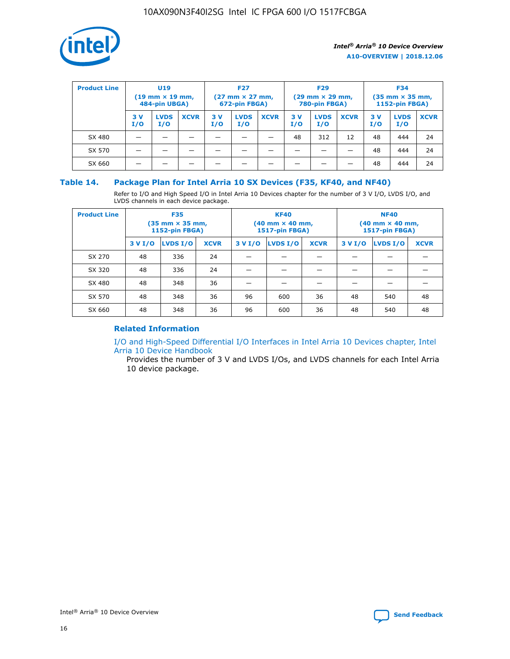

| <b>Product Line</b> | U <sub>19</sub><br>$(19 \text{ mm} \times 19 \text{ mm})$<br>484-pin UBGA) |                    | <b>F27</b><br>$(27 \text{ mm} \times 27 \text{ mm})$<br>672-pin FBGA) |           | <b>F29</b><br>$(29 \text{ mm} \times 29 \text{ mm})$<br>780-pin FBGA) |             |           | <b>F34</b><br>$(35 \text{ mm} \times 35 \text{ mm})$<br><b>1152-pin FBGA)</b> |             |           |                    |             |
|---------------------|----------------------------------------------------------------------------|--------------------|-----------------------------------------------------------------------|-----------|-----------------------------------------------------------------------|-------------|-----------|-------------------------------------------------------------------------------|-------------|-----------|--------------------|-------------|
|                     | 3 V<br>I/O                                                                 | <b>LVDS</b><br>I/O | <b>XCVR</b>                                                           | 3V<br>I/O | <b>LVDS</b><br>I/O                                                    | <b>XCVR</b> | 3V<br>I/O | <b>LVDS</b><br>I/O                                                            | <b>XCVR</b> | 3V<br>I/O | <b>LVDS</b><br>I/O | <b>XCVR</b> |
| SX 480              |                                                                            |                    |                                                                       |           |                                                                       |             | 48        | 312                                                                           | 12          | 48        | 444                | 24          |
| SX 570              |                                                                            |                    |                                                                       |           |                                                                       |             |           |                                                                               |             | 48        | 444                | 24          |
| SX 660              |                                                                            |                    |                                                                       |           |                                                                       |             |           |                                                                               |             | 48        | 444                | 24          |

## **Table 14. Package Plan for Intel Arria 10 SX Devices (F35, KF40, and NF40)**

Refer to I/O and High Speed I/O in Intel Arria 10 Devices chapter for the number of 3 V I/O, LVDS I/O, and LVDS channels in each device package.

| <b>Product Line</b> | <b>F35</b><br>$(35 \text{ mm} \times 35 \text{ mm})$<br><b>1152-pin FBGA)</b> |          |             |                                           | <b>KF40</b><br>(40 mm × 40 mm,<br>1517-pin FBGA) |    | <b>NF40</b><br>$(40 \text{ mm} \times 40 \text{ mm})$<br>1517-pin FBGA) |          |             |  |
|---------------------|-------------------------------------------------------------------------------|----------|-------------|-------------------------------------------|--------------------------------------------------|----|-------------------------------------------------------------------------|----------|-------------|--|
|                     | 3 V I/O                                                                       | LVDS I/O | <b>XCVR</b> | <b>LVDS I/O</b><br><b>XCVR</b><br>3 V I/O |                                                  |    | 3 V I/O                                                                 | LVDS I/O | <b>XCVR</b> |  |
| SX 270              | 48                                                                            | 336      | 24          |                                           |                                                  |    |                                                                         |          |             |  |
| SX 320              | 48                                                                            | 336      | 24          |                                           |                                                  |    |                                                                         |          |             |  |
| SX 480              | 48                                                                            | 348      | 36          |                                           |                                                  |    |                                                                         |          |             |  |
| SX 570              | 48                                                                            | 348      | 36          | 96                                        | 600                                              | 36 | 48                                                                      | 540      | 48          |  |
| SX 660              | 48                                                                            | 348      | 36          | 96                                        | 600                                              | 36 | 48                                                                      | 540      | 48          |  |

# **Related Information**

[I/O and High-Speed Differential I/O Interfaces in Intel Arria 10 Devices chapter, Intel](https://www.intel.com/content/www/us/en/programmable/documentation/sam1403482614086.html#sam1403482030321) [Arria 10 Device Handbook](https://www.intel.com/content/www/us/en/programmable/documentation/sam1403482614086.html#sam1403482030321)

Provides the number of 3 V and LVDS I/Os, and LVDS channels for each Intel Arria 10 device package.

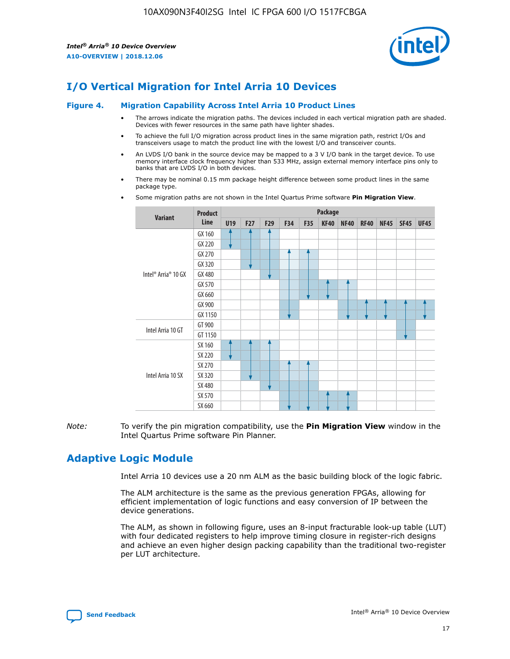

# **I/O Vertical Migration for Intel Arria 10 Devices**

#### **Figure 4. Migration Capability Across Intel Arria 10 Product Lines**

- The arrows indicate the migration paths. The devices included in each vertical migration path are shaded. Devices with fewer resources in the same path have lighter shades.
- To achieve the full I/O migration across product lines in the same migration path, restrict I/Os and transceivers usage to match the product line with the lowest I/O and transceiver counts.
- An LVDS I/O bank in the source device may be mapped to a 3 V I/O bank in the target device. To use memory interface clock frequency higher than 533 MHz, assign external memory interface pins only to banks that are LVDS I/O in both devices.
- There may be nominal 0.15 mm package height difference between some product lines in the same package type.
	- **Variant Product Line Package U19 F27 F29 F34 F35 KF40 NF40 RF40 NF45 SF45 UF45** Intel® Arria® 10 GX GX 160 GX 220 GX 270 GX 320 GX 480 GX 570 GX 660 GX 900 GX 1150 Intel Arria 10 GT GT 900 GT 1150 Intel Arria 10 SX SX 160 SX 220 SX 270 SX 320 SX 480 SX 570 SX 660
- Some migration paths are not shown in the Intel Quartus Prime software **Pin Migration View**.

*Note:* To verify the pin migration compatibility, use the **Pin Migration View** window in the Intel Quartus Prime software Pin Planner.

# **Adaptive Logic Module**

Intel Arria 10 devices use a 20 nm ALM as the basic building block of the logic fabric.

The ALM architecture is the same as the previous generation FPGAs, allowing for efficient implementation of logic functions and easy conversion of IP between the device generations.

The ALM, as shown in following figure, uses an 8-input fracturable look-up table (LUT) with four dedicated registers to help improve timing closure in register-rich designs and achieve an even higher design packing capability than the traditional two-register per LUT architecture.

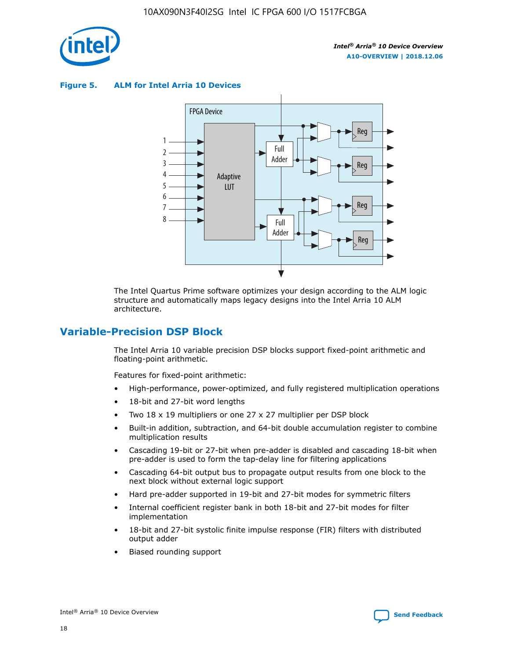

**Figure 5. ALM for Intel Arria 10 Devices**



The Intel Quartus Prime software optimizes your design according to the ALM logic structure and automatically maps legacy designs into the Intel Arria 10 ALM architecture.

# **Variable-Precision DSP Block**

The Intel Arria 10 variable precision DSP blocks support fixed-point arithmetic and floating-point arithmetic.

Features for fixed-point arithmetic:

- High-performance, power-optimized, and fully registered multiplication operations
- 18-bit and 27-bit word lengths
- Two 18 x 19 multipliers or one 27 x 27 multiplier per DSP block
- Built-in addition, subtraction, and 64-bit double accumulation register to combine multiplication results
- Cascading 19-bit or 27-bit when pre-adder is disabled and cascading 18-bit when pre-adder is used to form the tap-delay line for filtering applications
- Cascading 64-bit output bus to propagate output results from one block to the next block without external logic support
- Hard pre-adder supported in 19-bit and 27-bit modes for symmetric filters
- Internal coefficient register bank in both 18-bit and 27-bit modes for filter implementation
- 18-bit and 27-bit systolic finite impulse response (FIR) filters with distributed output adder
- Biased rounding support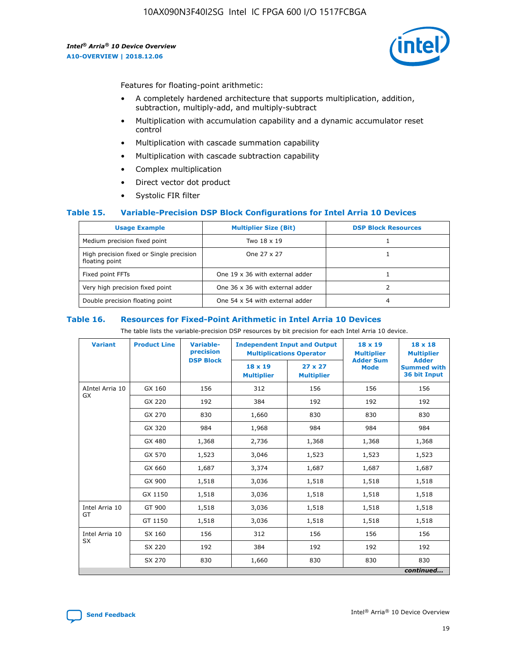

Features for floating-point arithmetic:

- A completely hardened architecture that supports multiplication, addition, subtraction, multiply-add, and multiply-subtract
- Multiplication with accumulation capability and a dynamic accumulator reset control
- Multiplication with cascade summation capability
- Multiplication with cascade subtraction capability
- Complex multiplication
- Direct vector dot product
- Systolic FIR filter

#### **Table 15. Variable-Precision DSP Block Configurations for Intel Arria 10 Devices**

| <b>Usage Example</b>                                       | <b>Multiplier Size (Bit)</b>    | <b>DSP Block Resources</b> |
|------------------------------------------------------------|---------------------------------|----------------------------|
| Medium precision fixed point                               | Two 18 x 19                     |                            |
| High precision fixed or Single precision<br>floating point | One 27 x 27                     |                            |
| Fixed point FFTs                                           | One 19 x 36 with external adder |                            |
| Very high precision fixed point                            | One 36 x 36 with external adder |                            |
| Double precision floating point                            | One 54 x 54 with external adder | 4                          |

#### **Table 16. Resources for Fixed-Point Arithmetic in Intel Arria 10 Devices**

The table lists the variable-precision DSP resources by bit precision for each Intel Arria 10 device.

| <b>Variant</b>  | <b>Product Line</b> | Variable-<br>precision | <b>Independent Input and Output</b><br><b>Multiplications Operator</b> |                                     | $18 \times 19$<br><b>Multiplier</b><br><b>Adder Sum</b> | $18 \times 18$<br><b>Multiplier</b>                |
|-----------------|---------------------|------------------------|------------------------------------------------------------------------|-------------------------------------|---------------------------------------------------------|----------------------------------------------------|
|                 |                     | <b>DSP Block</b>       | 18 x 19<br><b>Multiplier</b>                                           | $27 \times 27$<br><b>Multiplier</b> | <b>Mode</b>                                             | <b>Adder</b><br><b>Summed with</b><br>36 bit Input |
| AIntel Arria 10 | GX 160              | 156                    | 312                                                                    | 156                                 | 156                                                     | 156                                                |
| GX              | GX 220              | 192                    | 384                                                                    | 192                                 | 192                                                     | 192                                                |
|                 | GX 270              | 830                    | 1,660                                                                  | 830                                 | 830                                                     | 830                                                |
|                 | GX 320              | 984                    | 1,968                                                                  | 984                                 | 984                                                     | 984                                                |
|                 | GX 480              | 1,368                  | 2,736                                                                  | 1,368                               | 1,368                                                   | 1,368                                              |
|                 | GX 570              | 1,523                  | 3,046                                                                  | 1,523                               | 1,523                                                   | 1,523                                              |
|                 | GX 660              | 1,687                  | 3,374                                                                  | 1,687                               | 1,687                                                   | 1,687                                              |
|                 | GX 900              | 1,518                  | 3,036                                                                  | 1,518                               | 1,518                                                   | 1,518                                              |
|                 | GX 1150             | 1,518                  | 3,036                                                                  | 1,518                               | 1,518                                                   | 1,518                                              |
| Intel Arria 10  | GT 900              | 1,518                  | 3,036                                                                  | 1,518                               | 1,518                                                   | 1,518                                              |
| GT              | GT 1150             | 1,518                  | 3,036                                                                  | 1,518                               | 1,518                                                   | 1,518                                              |
| Intel Arria 10  | SX 160              | 156                    | 312                                                                    | 156                                 | 156                                                     | 156                                                |
| <b>SX</b>       | SX 220              | 192                    | 384                                                                    | 192                                 | 192                                                     | 192                                                |
|                 | SX 270              | 830                    | 1,660                                                                  | 830                                 | 830                                                     | 830                                                |
|                 |                     |                        |                                                                        |                                     |                                                         | continued                                          |

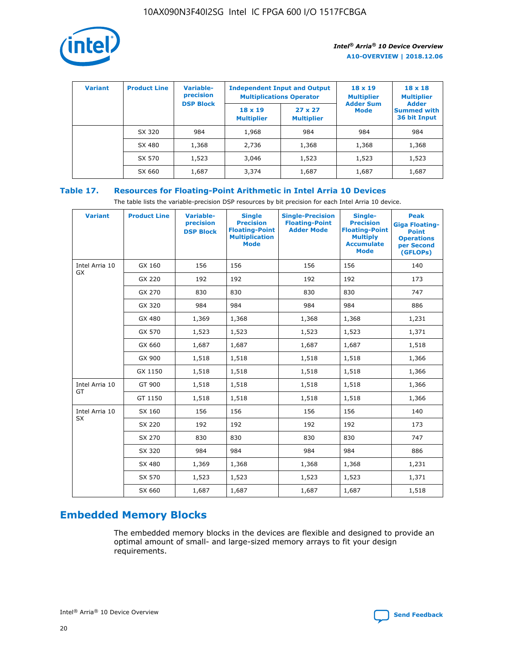

| <b>Variant</b> | <b>Product Line</b> | <b>Variable-</b><br>precision<br><b>DSP Block</b> | <b>Independent Input and Output</b><br><b>Multiplications Operator</b> |                                     | $18 \times 19$<br><b>Multiplier</b><br><b>Adder Sum</b> | $18 \times 18$<br><b>Multiplier</b><br><b>Adder</b> |  |
|----------------|---------------------|---------------------------------------------------|------------------------------------------------------------------------|-------------------------------------|---------------------------------------------------------|-----------------------------------------------------|--|
|                |                     |                                                   | $18 \times 19$<br><b>Multiplier</b>                                    | $27 \times 27$<br><b>Multiplier</b> | Mode                                                    | <b>Summed with</b><br>36 bit Input                  |  |
|                | SX 320              | 984                                               | 1,968                                                                  | 984                                 | 984                                                     | 984                                                 |  |
|                | SX 480              | 1,368                                             | 2,736                                                                  | 1,368                               | 1,368                                                   | 1,368                                               |  |
|                | SX 570              | 1,523                                             | 3,046                                                                  | 1,523                               | 1,523                                                   | 1,523                                               |  |
|                | SX 660              | 1,687                                             | 3,374                                                                  | 1,687                               | 1,687                                                   | 1,687                                               |  |

# **Table 17. Resources for Floating-Point Arithmetic in Intel Arria 10 Devices**

The table lists the variable-precision DSP resources by bit precision for each Intel Arria 10 device.

| <b>Variant</b> | <b>Product Line</b> | <b>Variable-</b><br>precision<br><b>DSP Block</b> | <b>Single</b><br><b>Precision</b><br><b>Floating-Point</b><br><b>Multiplication</b><br><b>Mode</b> | <b>Single-Precision</b><br><b>Floating-Point</b><br><b>Adder Mode</b> | Single-<br><b>Precision</b><br><b>Floating-Point</b><br><b>Multiply</b><br><b>Accumulate</b><br><b>Mode</b> | <b>Peak</b><br><b>Giga Floating-</b><br><b>Point</b><br><b>Operations</b><br>per Second<br>(GFLOPs) |
|----------------|---------------------|---------------------------------------------------|----------------------------------------------------------------------------------------------------|-----------------------------------------------------------------------|-------------------------------------------------------------------------------------------------------------|-----------------------------------------------------------------------------------------------------|
| Intel Arria 10 | GX 160              | 156                                               | 156                                                                                                | 156                                                                   | 156                                                                                                         | 140                                                                                                 |
| GX             | GX 220              | 192                                               | 192                                                                                                | 192                                                                   | 192                                                                                                         | 173                                                                                                 |
|                | GX 270              | 830                                               | 830                                                                                                | 830                                                                   | 830                                                                                                         | 747                                                                                                 |
|                | GX 320              | 984                                               | 984                                                                                                | 984                                                                   | 984                                                                                                         | 886                                                                                                 |
|                | GX 480              | 1,369                                             | 1,368                                                                                              | 1,368                                                                 | 1,368                                                                                                       | 1,231                                                                                               |
|                | GX 570              | 1,523                                             | 1,523                                                                                              | 1,523                                                                 | 1,523                                                                                                       | 1,371                                                                                               |
|                | GX 660              | 1,687                                             | 1,687                                                                                              | 1,687                                                                 | 1,687                                                                                                       | 1,518                                                                                               |
|                | GX 900              | 1,518                                             | 1,518                                                                                              | 1,518                                                                 | 1,518                                                                                                       | 1,366                                                                                               |
|                | GX 1150             | 1,518                                             | 1,518                                                                                              | 1,518                                                                 | 1,518                                                                                                       | 1,366                                                                                               |
| Intel Arria 10 | GT 900              | 1,518                                             | 1,518                                                                                              | 1,518                                                                 | 1,518                                                                                                       | 1,366                                                                                               |
| GT             | GT 1150             | 1,518                                             | 1,518                                                                                              | 1,518                                                                 | 1,518                                                                                                       | 1,366                                                                                               |
| Intel Arria 10 | SX 160              | 156                                               | 156                                                                                                | 156                                                                   | 156                                                                                                         | 140                                                                                                 |
| <b>SX</b>      | SX 220              | 192                                               | 192                                                                                                | 192                                                                   | 192                                                                                                         | 173                                                                                                 |
|                | SX 270              | 830                                               | 830                                                                                                | 830                                                                   | 830                                                                                                         | 747                                                                                                 |
|                | SX 320              | 984                                               | 984                                                                                                | 984                                                                   | 984                                                                                                         | 886                                                                                                 |
|                | SX 480              | 1,369                                             | 1,368                                                                                              | 1,368                                                                 | 1,368                                                                                                       | 1,231                                                                                               |
|                | SX 570              | 1,523                                             | 1,523                                                                                              | 1,523                                                                 | 1,523                                                                                                       | 1,371                                                                                               |
|                | SX 660              | 1,687                                             | 1,687                                                                                              | 1,687                                                                 | 1,687                                                                                                       | 1,518                                                                                               |

# **Embedded Memory Blocks**

The embedded memory blocks in the devices are flexible and designed to provide an optimal amount of small- and large-sized memory arrays to fit your design requirements.

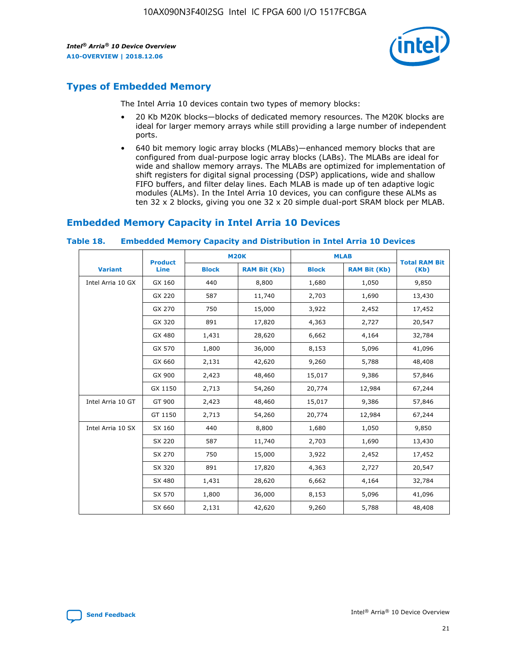

# **Types of Embedded Memory**

The Intel Arria 10 devices contain two types of memory blocks:

- 20 Kb M20K blocks—blocks of dedicated memory resources. The M20K blocks are ideal for larger memory arrays while still providing a large number of independent ports.
- 640 bit memory logic array blocks (MLABs)—enhanced memory blocks that are configured from dual-purpose logic array blocks (LABs). The MLABs are ideal for wide and shallow memory arrays. The MLABs are optimized for implementation of shift registers for digital signal processing (DSP) applications, wide and shallow FIFO buffers, and filter delay lines. Each MLAB is made up of ten adaptive logic modules (ALMs). In the Intel Arria 10 devices, you can configure these ALMs as ten 32 x 2 blocks, giving you one 32 x 20 simple dual-port SRAM block per MLAB.

# **Embedded Memory Capacity in Intel Arria 10 Devices**

|                   | <b>Product</b> |              | <b>M20K</b>         | <b>MLAB</b>  |                     | <b>Total RAM Bit</b> |
|-------------------|----------------|--------------|---------------------|--------------|---------------------|----------------------|
| <b>Variant</b>    | Line           | <b>Block</b> | <b>RAM Bit (Kb)</b> | <b>Block</b> | <b>RAM Bit (Kb)</b> | (Kb)                 |
| Intel Arria 10 GX | GX 160         | 440          | 8,800               | 1,680        | 1,050               | 9,850                |
|                   | GX 220         | 587          | 11,740              | 2,703        | 1,690               | 13,430               |
|                   | GX 270         | 750          | 15,000              | 3,922        | 2,452               | 17,452               |
|                   | GX 320         | 891          | 17,820              | 4,363        | 2,727               | 20,547               |
|                   | GX 480         | 1,431        | 28,620              | 6,662        | 4,164               | 32,784               |
|                   | GX 570         | 1,800        | 36,000              | 8,153        | 5,096               | 41,096               |
|                   | GX 660         | 2,131        | 42,620              | 9,260        | 5,788               | 48,408               |
|                   | GX 900         | 2,423        | 48,460              | 15,017       | 9,386               | 57,846               |
|                   | GX 1150        | 2,713        | 54,260              | 20,774       | 12,984              | 67,244               |
| Intel Arria 10 GT | GT 900         | 2,423        | 48,460              | 15,017       | 9,386               | 57,846               |
|                   | GT 1150        | 2,713        | 54,260              | 20,774       | 12,984              | 67,244               |
| Intel Arria 10 SX | SX 160         | 440          | 8,800               | 1,680        | 1,050               | 9,850                |
|                   | SX 220         | 587          | 11,740              | 2,703        | 1,690               | 13,430               |
|                   | SX 270         | 750          | 15,000              | 3,922        | 2,452               | 17,452               |
|                   | SX 320         | 891          | 17,820              | 4,363        | 2,727               | 20,547               |
|                   | SX 480         | 1,431        | 28,620              | 6,662        | 4,164               | 32,784               |
|                   | SX 570         | 1,800        | 36,000              | 8,153        | 5,096               | 41,096               |
|                   | SX 660         | 2,131        | 42,620              | 9,260        | 5,788               | 48,408               |

#### **Table 18. Embedded Memory Capacity and Distribution in Intel Arria 10 Devices**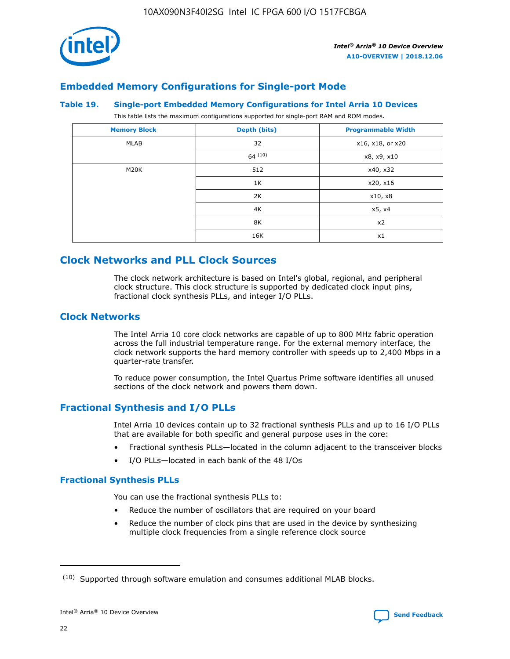

# **Embedded Memory Configurations for Single-port Mode**

#### **Table 19. Single-port Embedded Memory Configurations for Intel Arria 10 Devices**

This table lists the maximum configurations supported for single-port RAM and ROM modes.

| <b>Memory Block</b> | Depth (bits) | <b>Programmable Width</b> |
|---------------------|--------------|---------------------------|
| MLAB                | 32           | x16, x18, or x20          |
|                     | 64(10)       | x8, x9, x10               |
| M20K                | 512          | x40, x32                  |
|                     | 1K           | x20, x16                  |
|                     | 2K           | x10, x8                   |
|                     | 4K           | x5, x4                    |
|                     | 8K           | x2                        |
|                     | 16K          | x1                        |

# **Clock Networks and PLL Clock Sources**

The clock network architecture is based on Intel's global, regional, and peripheral clock structure. This clock structure is supported by dedicated clock input pins, fractional clock synthesis PLLs, and integer I/O PLLs.

# **Clock Networks**

The Intel Arria 10 core clock networks are capable of up to 800 MHz fabric operation across the full industrial temperature range. For the external memory interface, the clock network supports the hard memory controller with speeds up to 2,400 Mbps in a quarter-rate transfer.

To reduce power consumption, the Intel Quartus Prime software identifies all unused sections of the clock network and powers them down.

# **Fractional Synthesis and I/O PLLs**

Intel Arria 10 devices contain up to 32 fractional synthesis PLLs and up to 16 I/O PLLs that are available for both specific and general purpose uses in the core:

- Fractional synthesis PLLs—located in the column adjacent to the transceiver blocks
- I/O PLLs—located in each bank of the 48 I/Os

#### **Fractional Synthesis PLLs**

You can use the fractional synthesis PLLs to:

- Reduce the number of oscillators that are required on your board
- Reduce the number of clock pins that are used in the device by synthesizing multiple clock frequencies from a single reference clock source

<sup>(10)</sup> Supported through software emulation and consumes additional MLAB blocks.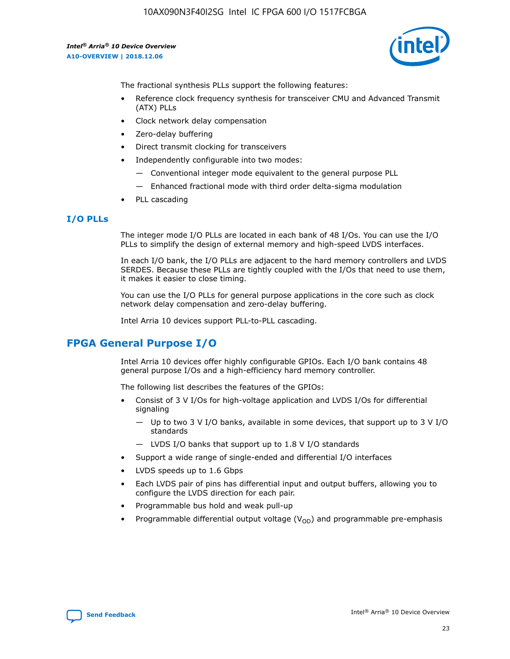

The fractional synthesis PLLs support the following features:

- Reference clock frequency synthesis for transceiver CMU and Advanced Transmit (ATX) PLLs
- Clock network delay compensation
- Zero-delay buffering
- Direct transmit clocking for transceivers
- Independently configurable into two modes:
	- Conventional integer mode equivalent to the general purpose PLL
	- Enhanced fractional mode with third order delta-sigma modulation
- PLL cascading

#### **I/O PLLs**

The integer mode I/O PLLs are located in each bank of 48 I/Os. You can use the I/O PLLs to simplify the design of external memory and high-speed LVDS interfaces.

In each I/O bank, the I/O PLLs are adjacent to the hard memory controllers and LVDS SERDES. Because these PLLs are tightly coupled with the I/Os that need to use them, it makes it easier to close timing.

You can use the I/O PLLs for general purpose applications in the core such as clock network delay compensation and zero-delay buffering.

Intel Arria 10 devices support PLL-to-PLL cascading.

# **FPGA General Purpose I/O**

Intel Arria 10 devices offer highly configurable GPIOs. Each I/O bank contains 48 general purpose I/Os and a high-efficiency hard memory controller.

The following list describes the features of the GPIOs:

- Consist of 3 V I/Os for high-voltage application and LVDS I/Os for differential signaling
	- Up to two 3 V I/O banks, available in some devices, that support up to 3 V I/O standards
	- LVDS I/O banks that support up to 1.8 V I/O standards
- Support a wide range of single-ended and differential I/O interfaces
- LVDS speeds up to 1.6 Gbps
- Each LVDS pair of pins has differential input and output buffers, allowing you to configure the LVDS direction for each pair.
- Programmable bus hold and weak pull-up
- Programmable differential output voltage  $(V_{OD})$  and programmable pre-emphasis

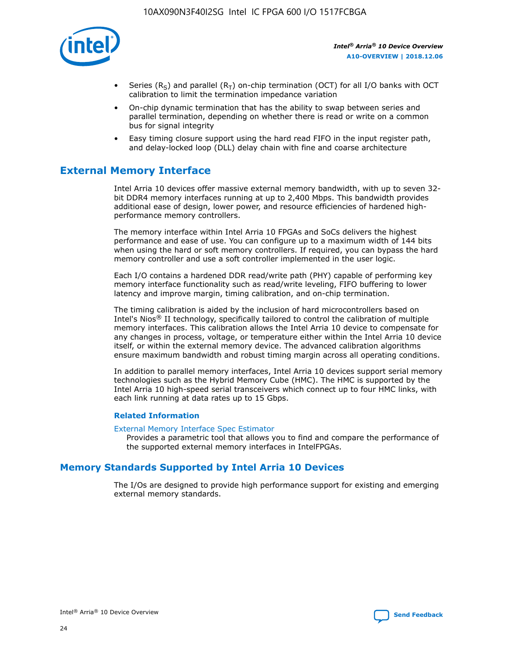

- Series (R<sub>S</sub>) and parallel (R<sub>T</sub>) on-chip termination (OCT) for all I/O banks with OCT calibration to limit the termination impedance variation
- On-chip dynamic termination that has the ability to swap between series and parallel termination, depending on whether there is read or write on a common bus for signal integrity
- Easy timing closure support using the hard read FIFO in the input register path, and delay-locked loop (DLL) delay chain with fine and coarse architecture

# **External Memory Interface**

Intel Arria 10 devices offer massive external memory bandwidth, with up to seven 32 bit DDR4 memory interfaces running at up to 2,400 Mbps. This bandwidth provides additional ease of design, lower power, and resource efficiencies of hardened highperformance memory controllers.

The memory interface within Intel Arria 10 FPGAs and SoCs delivers the highest performance and ease of use. You can configure up to a maximum width of 144 bits when using the hard or soft memory controllers. If required, you can bypass the hard memory controller and use a soft controller implemented in the user logic.

Each I/O contains a hardened DDR read/write path (PHY) capable of performing key memory interface functionality such as read/write leveling, FIFO buffering to lower latency and improve margin, timing calibration, and on-chip termination.

The timing calibration is aided by the inclusion of hard microcontrollers based on Intel's Nios® II technology, specifically tailored to control the calibration of multiple memory interfaces. This calibration allows the Intel Arria 10 device to compensate for any changes in process, voltage, or temperature either within the Intel Arria 10 device itself, or within the external memory device. The advanced calibration algorithms ensure maximum bandwidth and robust timing margin across all operating conditions.

In addition to parallel memory interfaces, Intel Arria 10 devices support serial memory technologies such as the Hybrid Memory Cube (HMC). The HMC is supported by the Intel Arria 10 high-speed serial transceivers which connect up to four HMC links, with each link running at data rates up to 15 Gbps.

#### **Related Information**

#### [External Memory Interface Spec Estimator](http://www.altera.com/technology/memory/estimator/mem-emif-index.html)

Provides a parametric tool that allows you to find and compare the performance of the supported external memory interfaces in IntelFPGAs.

# **Memory Standards Supported by Intel Arria 10 Devices**

The I/Os are designed to provide high performance support for existing and emerging external memory standards.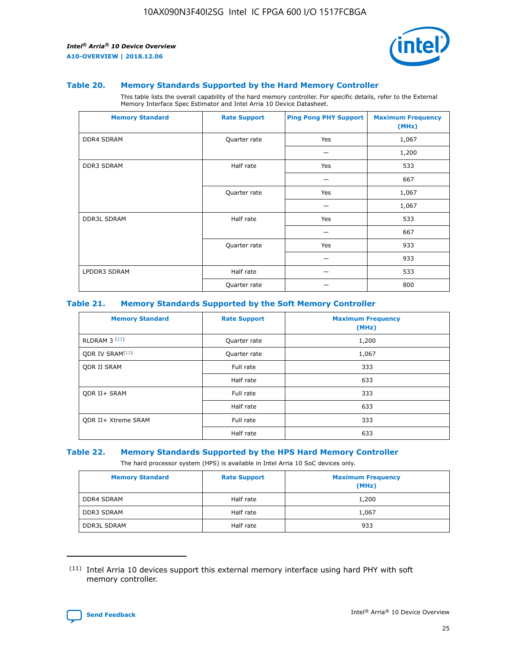

#### **Table 20. Memory Standards Supported by the Hard Memory Controller**

This table lists the overall capability of the hard memory controller. For specific details, refer to the External Memory Interface Spec Estimator and Intel Arria 10 Device Datasheet.

| <b>Memory Standard</b> | <b>Rate Support</b> | <b>Ping Pong PHY Support</b> | <b>Maximum Frequency</b><br>(MHz) |
|------------------------|---------------------|------------------------------|-----------------------------------|
| <b>DDR4 SDRAM</b>      | Quarter rate        | Yes                          | 1,067                             |
|                        |                     |                              | 1,200                             |
| DDR3 SDRAM             | Half rate           | Yes                          | 533                               |
|                        |                     |                              | 667                               |
|                        | Quarter rate        | Yes                          | 1,067                             |
|                        |                     |                              | 1,067                             |
| <b>DDR3L SDRAM</b>     | Half rate           | Yes                          | 533                               |
|                        |                     |                              | 667                               |
|                        | Quarter rate        | Yes                          | 933                               |
|                        |                     |                              | 933                               |
| LPDDR3 SDRAM           | Half rate           |                              | 533                               |
|                        | Quarter rate        |                              | 800                               |

#### **Table 21. Memory Standards Supported by the Soft Memory Controller**

| <b>Memory Standard</b>      | <b>Rate Support</b> | <b>Maximum Frequency</b><br>(MHz) |
|-----------------------------|---------------------|-----------------------------------|
| <b>RLDRAM 3 (11)</b>        | Quarter rate        | 1,200                             |
| ODR IV SRAM <sup>(11)</sup> | Quarter rate        | 1,067                             |
| <b>ODR II SRAM</b>          | Full rate           | 333                               |
|                             | Half rate           | 633                               |
| <b>ODR II+ SRAM</b>         | Full rate           | 333                               |
|                             | Half rate           | 633                               |
| <b>ODR II+ Xtreme SRAM</b>  | Full rate           | 333                               |
|                             | Half rate           | 633                               |

#### **Table 22. Memory Standards Supported by the HPS Hard Memory Controller**

The hard processor system (HPS) is available in Intel Arria 10 SoC devices only.

| <b>Memory Standard</b> | <b>Rate Support</b> | <b>Maximum Frequency</b><br>(MHz) |
|------------------------|---------------------|-----------------------------------|
| <b>DDR4 SDRAM</b>      | Half rate           | 1,200                             |
| <b>DDR3 SDRAM</b>      | Half rate           | 1,067                             |
| <b>DDR3L SDRAM</b>     | Half rate           | 933                               |

<sup>(11)</sup> Intel Arria 10 devices support this external memory interface using hard PHY with soft memory controller.

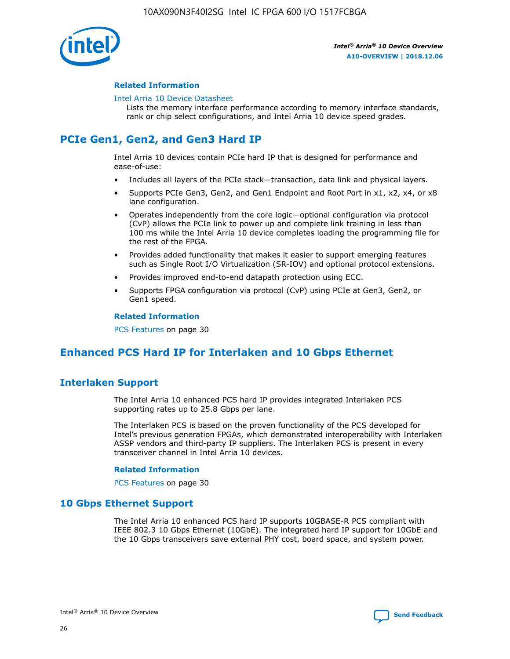

#### **Related Information**

#### [Intel Arria 10 Device Datasheet](https://www.intel.com/content/www/us/en/programmable/documentation/mcn1413182292568.html#mcn1413182153340)

Lists the memory interface performance according to memory interface standards, rank or chip select configurations, and Intel Arria 10 device speed grades.

# **PCIe Gen1, Gen2, and Gen3 Hard IP**

Intel Arria 10 devices contain PCIe hard IP that is designed for performance and ease-of-use:

- Includes all layers of the PCIe stack—transaction, data link and physical layers.
- Supports PCIe Gen3, Gen2, and Gen1 Endpoint and Root Port in x1, x2, x4, or x8 lane configuration.
- Operates independently from the core logic—optional configuration via protocol (CvP) allows the PCIe link to power up and complete link training in less than 100 ms while the Intel Arria 10 device completes loading the programming file for the rest of the FPGA.
- Provides added functionality that makes it easier to support emerging features such as Single Root I/O Virtualization (SR-IOV) and optional protocol extensions.
- Provides improved end-to-end datapath protection using ECC.
- Supports FPGA configuration via protocol (CvP) using PCIe at Gen3, Gen2, or Gen1 speed.

#### **Related Information**

PCS Features on page 30

# **Enhanced PCS Hard IP for Interlaken and 10 Gbps Ethernet**

# **Interlaken Support**

The Intel Arria 10 enhanced PCS hard IP provides integrated Interlaken PCS supporting rates up to 25.8 Gbps per lane.

The Interlaken PCS is based on the proven functionality of the PCS developed for Intel's previous generation FPGAs, which demonstrated interoperability with Interlaken ASSP vendors and third-party IP suppliers. The Interlaken PCS is present in every transceiver channel in Intel Arria 10 devices.

#### **Related Information**

PCS Features on page 30

# **10 Gbps Ethernet Support**

The Intel Arria 10 enhanced PCS hard IP supports 10GBASE-R PCS compliant with IEEE 802.3 10 Gbps Ethernet (10GbE). The integrated hard IP support for 10GbE and the 10 Gbps transceivers save external PHY cost, board space, and system power.

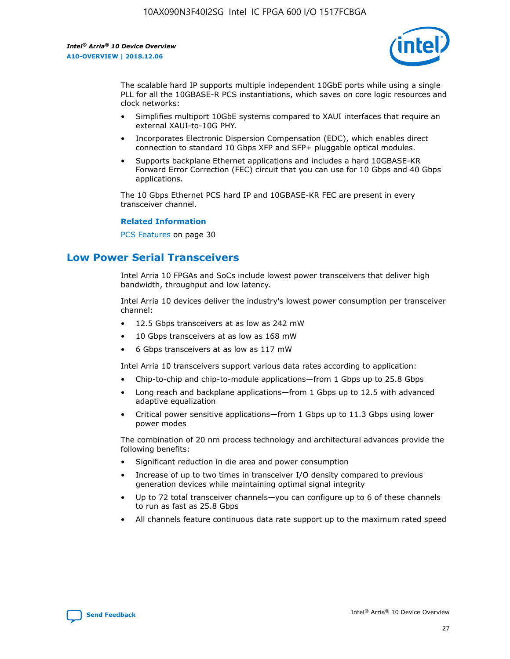

The scalable hard IP supports multiple independent 10GbE ports while using a single PLL for all the 10GBASE-R PCS instantiations, which saves on core logic resources and clock networks:

- Simplifies multiport 10GbE systems compared to XAUI interfaces that require an external XAUI-to-10G PHY.
- Incorporates Electronic Dispersion Compensation (EDC), which enables direct connection to standard 10 Gbps XFP and SFP+ pluggable optical modules.
- Supports backplane Ethernet applications and includes a hard 10GBASE-KR Forward Error Correction (FEC) circuit that you can use for 10 Gbps and 40 Gbps applications.

The 10 Gbps Ethernet PCS hard IP and 10GBASE-KR FEC are present in every transceiver channel.

#### **Related Information**

PCS Features on page 30

# **Low Power Serial Transceivers**

Intel Arria 10 FPGAs and SoCs include lowest power transceivers that deliver high bandwidth, throughput and low latency.

Intel Arria 10 devices deliver the industry's lowest power consumption per transceiver channel:

- 12.5 Gbps transceivers at as low as 242 mW
- 10 Gbps transceivers at as low as 168 mW
- 6 Gbps transceivers at as low as 117 mW

Intel Arria 10 transceivers support various data rates according to application:

- Chip-to-chip and chip-to-module applications—from 1 Gbps up to 25.8 Gbps
- Long reach and backplane applications—from 1 Gbps up to 12.5 with advanced adaptive equalization
- Critical power sensitive applications—from 1 Gbps up to 11.3 Gbps using lower power modes

The combination of 20 nm process technology and architectural advances provide the following benefits:

- Significant reduction in die area and power consumption
- Increase of up to two times in transceiver I/O density compared to previous generation devices while maintaining optimal signal integrity
- Up to 72 total transceiver channels—you can configure up to 6 of these channels to run as fast as 25.8 Gbps
- All channels feature continuous data rate support up to the maximum rated speed

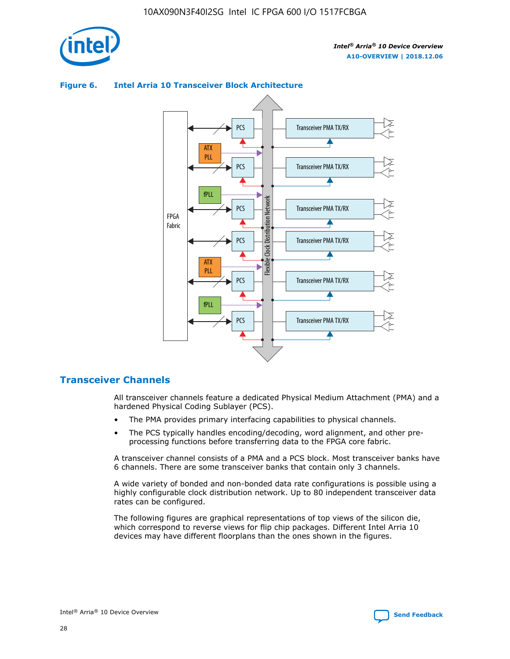

# Transceiver PMA TX/RX PCS ATX PLL Transceiver PMA TX/RX PCS fPLL Network Flexible Clock Distribution Network PCS Transceiver PMA TX/RX FPGA **Clock Distribution** Fabric PCS Transceiver PMA TX/RX ATX Flexible PLL PCS Transceiver PMA TX/RX ▲ fPLL Transceiver PMA TX/RX PCS 4

## **Figure 6. Intel Arria 10 Transceiver Block Architecture**

# **Transceiver Channels**

All transceiver channels feature a dedicated Physical Medium Attachment (PMA) and a hardened Physical Coding Sublayer (PCS).

- The PMA provides primary interfacing capabilities to physical channels.
- The PCS typically handles encoding/decoding, word alignment, and other preprocessing functions before transferring data to the FPGA core fabric.

A transceiver channel consists of a PMA and a PCS block. Most transceiver banks have 6 channels. There are some transceiver banks that contain only 3 channels.

A wide variety of bonded and non-bonded data rate configurations is possible using a highly configurable clock distribution network. Up to 80 independent transceiver data rates can be configured.

The following figures are graphical representations of top views of the silicon die, which correspond to reverse views for flip chip packages. Different Intel Arria 10 devices may have different floorplans than the ones shown in the figures.

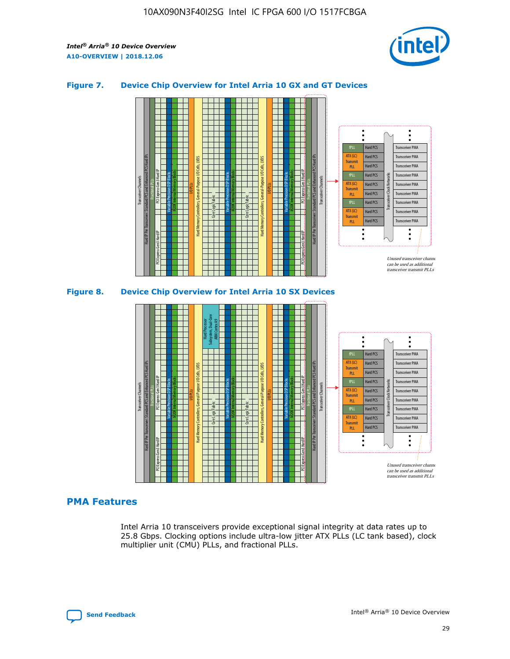

## **Figure 7. Device Chip Overview for Intel Arria 10 GX and GT Devices**



M20K Internal Memory Blocks Core Logic Fabric Transceiver Channels Hard IP Per Transceiver: Standard PCS and Enhanced PCS Hard IPs PCI Express Gen3 Hard IP Fractional PLLs M20K Internal Memory Blocks PCI Express Gen3 Hard IP Variable Precision DSP Blocks I/O PLLs Hard Memory Controllers, General-Purpose I/O Cells, LVDS Hard Processor Subsystem, Dual-Core ARM Cortex A9 M20K Internal Memory Blocks Variable Precision DSP Blocks M20K Internal Memory Blocks Core Logic Fabric I/O PLLs Hard Memory Controllers, General-Purpose I/O Cells, LVDS M20K Internal Memory Blocks Variable Precision DSP Blocks M20K Internal Memory Blocks Transceiver Channels Hard IP Per Transceiver: Standard PCS and Enhanced PCS Hard IPs PCI Express Gen3 Hard IP Fractional PLLs PCI Express Gen3 Hard IP  $\ddot{\cdot}$ Hard PCS Transceiver PMA fPLL ATX (LC) Hard PCS Transceiver PMA **Transmit** Hard PCS Transceiver PMA PLL fPLL Hard PCS Transceiver PMA Transceiver Clock Networks ATX (LC) Hard PCS Transceiver PMA Transmi Hard PCS Transceiver PMA PLL fPLL Hard PCS Transceiver PMA Transceiver PMA Hard PCS ATX (LC) **Transmit** Hard PCS Transceiver PMA PLL Unused transceiver chann can be used as additional transceiver transmit PLLs

# **PMA Features**

Intel Arria 10 transceivers provide exceptional signal integrity at data rates up to 25.8 Gbps. Clocking options include ultra-low jitter ATX PLLs (LC tank based), clock multiplier unit (CMU) PLLs, and fractional PLLs.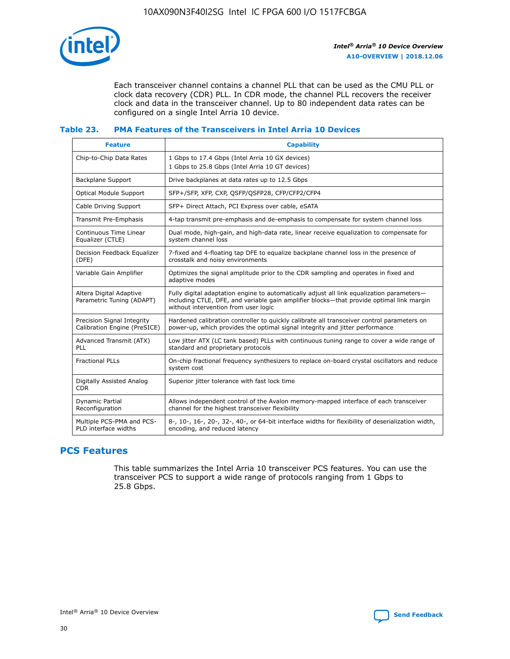

Each transceiver channel contains a channel PLL that can be used as the CMU PLL or clock data recovery (CDR) PLL. In CDR mode, the channel PLL recovers the receiver clock and data in the transceiver channel. Up to 80 independent data rates can be configured on a single Intel Arria 10 device.

## **Table 23. PMA Features of the Transceivers in Intel Arria 10 Devices**

| <b>Feature</b>                                             | <b>Capability</b>                                                                                                                                                                                                             |
|------------------------------------------------------------|-------------------------------------------------------------------------------------------------------------------------------------------------------------------------------------------------------------------------------|
| Chip-to-Chip Data Rates                                    | 1 Gbps to 17.4 Gbps (Intel Arria 10 GX devices)<br>1 Gbps to 25.8 Gbps (Intel Arria 10 GT devices)                                                                                                                            |
| Backplane Support                                          | Drive backplanes at data rates up to 12.5 Gbps                                                                                                                                                                                |
| <b>Optical Module Support</b>                              | SFP+/SFP, XFP, CXP, QSFP/QSFP28, CFP/CFP2/CFP4                                                                                                                                                                                |
| Cable Driving Support                                      | SFP+ Direct Attach, PCI Express over cable, eSATA                                                                                                                                                                             |
| Transmit Pre-Emphasis                                      | 4-tap transmit pre-emphasis and de-emphasis to compensate for system channel loss                                                                                                                                             |
| Continuous Time Linear<br>Equalizer (CTLE)                 | Dual mode, high-gain, and high-data rate, linear receive equalization to compensate for<br>system channel loss                                                                                                                |
| Decision Feedback Equalizer<br>(DFE)                       | 7-fixed and 4-floating tap DFE to equalize backplane channel loss in the presence of<br>crosstalk and noisy environments                                                                                                      |
| Variable Gain Amplifier                                    | Optimizes the signal amplitude prior to the CDR sampling and operates in fixed and<br>adaptive modes                                                                                                                          |
| Altera Digital Adaptive<br>Parametric Tuning (ADAPT)       | Fully digital adaptation engine to automatically adjust all link equalization parameters-<br>including CTLE, DFE, and variable gain amplifier blocks—that provide optimal link margin<br>without intervention from user logic |
| Precision Signal Integrity<br>Calibration Engine (PreSICE) | Hardened calibration controller to quickly calibrate all transceiver control parameters on<br>power-up, which provides the optimal signal integrity and jitter performance                                                    |
| Advanced Transmit (ATX)<br><b>PLL</b>                      | Low jitter ATX (LC tank based) PLLs with continuous tuning range to cover a wide range of<br>standard and proprietary protocols                                                                                               |
| <b>Fractional PLLs</b>                                     | On-chip fractional frequency synthesizers to replace on-board crystal oscillators and reduce<br>system cost                                                                                                                   |
| Digitally Assisted Analog<br><b>CDR</b>                    | Superior jitter tolerance with fast lock time                                                                                                                                                                                 |
| Dynamic Partial<br>Reconfiguration                         | Allows independent control of the Avalon memory-mapped interface of each transceiver<br>channel for the highest transceiver flexibility                                                                                       |
| Multiple PCS-PMA and PCS-<br>PLD interface widths          | 8-, 10-, 16-, 20-, 32-, 40-, or 64-bit interface widths for flexibility of deserialization width,<br>encoding, and reduced latency                                                                                            |

# **PCS Features**

This table summarizes the Intel Arria 10 transceiver PCS features. You can use the transceiver PCS to support a wide range of protocols ranging from 1 Gbps to 25.8 Gbps.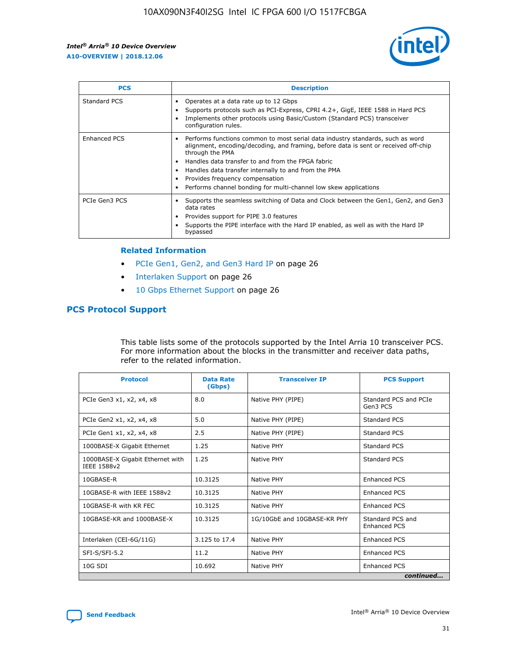

| <b>PCS</b>    | <b>Description</b>                                                                                                                                                                                                                                                                                                                                                                                             |
|---------------|----------------------------------------------------------------------------------------------------------------------------------------------------------------------------------------------------------------------------------------------------------------------------------------------------------------------------------------------------------------------------------------------------------------|
| Standard PCS  | Operates at a data rate up to 12 Gbps<br>Supports protocols such as PCI-Express, CPRI 4.2+, GigE, IEEE 1588 in Hard PCS<br>Implements other protocols using Basic/Custom (Standard PCS) transceiver<br>configuration rules.                                                                                                                                                                                    |
| Enhanced PCS  | Performs functions common to most serial data industry standards, such as word<br>alignment, encoding/decoding, and framing, before data is sent or received off-chip<br>through the PMA<br>• Handles data transfer to and from the FPGA fabric<br>Handles data transfer internally to and from the PMA<br>Provides frequency compensation<br>Performs channel bonding for multi-channel low skew applications |
| PCIe Gen3 PCS | Supports the seamless switching of Data and Clock between the Gen1, Gen2, and Gen3<br>data rates<br>Provides support for PIPE 3.0 features<br>Supports the PIPE interface with the Hard IP enabled, as well as with the Hard IP<br>bypassed                                                                                                                                                                    |

#### **Related Information**

- PCIe Gen1, Gen2, and Gen3 Hard IP on page 26
- Interlaken Support on page 26
- 10 Gbps Ethernet Support on page 26

# **PCS Protocol Support**

This table lists some of the protocols supported by the Intel Arria 10 transceiver PCS. For more information about the blocks in the transmitter and receiver data paths, refer to the related information.

| <b>Protocol</b>                                 | <b>Data Rate</b><br>(Gbps) | <b>Transceiver IP</b>       | <b>PCS Support</b>                      |
|-------------------------------------------------|----------------------------|-----------------------------|-----------------------------------------|
| PCIe Gen3 x1, x2, x4, x8                        | 8.0                        | Native PHY (PIPE)           | Standard PCS and PCIe<br>Gen3 PCS       |
| PCIe Gen2 x1, x2, x4, x8                        | 5.0                        | Native PHY (PIPE)           | <b>Standard PCS</b>                     |
| PCIe Gen1 x1, x2, x4, x8                        | 2.5                        | Native PHY (PIPE)           | Standard PCS                            |
| 1000BASE-X Gigabit Ethernet                     | 1.25                       | Native PHY                  | <b>Standard PCS</b>                     |
| 1000BASE-X Gigabit Ethernet with<br>IEEE 1588v2 | 1.25                       | Native PHY                  | Standard PCS                            |
| 10GBASE-R                                       | 10.3125                    | Native PHY                  | <b>Enhanced PCS</b>                     |
| 10GBASE-R with IEEE 1588v2                      | 10.3125                    | Native PHY                  | <b>Enhanced PCS</b>                     |
| 10GBASE-R with KR FEC                           | 10.3125                    | Native PHY                  | <b>Enhanced PCS</b>                     |
| 10GBASE-KR and 1000BASE-X                       | 10.3125                    | 1G/10GbE and 10GBASE-KR PHY | Standard PCS and<br><b>Enhanced PCS</b> |
| Interlaken (CEI-6G/11G)                         | 3.125 to 17.4              | Native PHY                  | <b>Enhanced PCS</b>                     |
| SFI-S/SFI-5.2                                   | 11.2                       | Native PHY                  | <b>Enhanced PCS</b>                     |
| $10G$ SDI                                       | 10.692                     | Native PHY                  | <b>Enhanced PCS</b>                     |
|                                                 |                            |                             | continued                               |

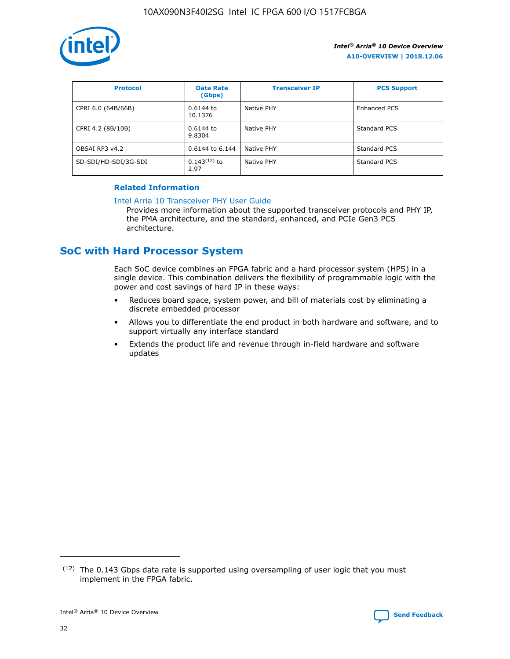

| <b>Protocol</b>      | <b>Data Rate</b><br>(Gbps) | <b>Transceiver IP</b> | <b>PCS Support</b> |
|----------------------|----------------------------|-----------------------|--------------------|
| CPRI 6.0 (64B/66B)   | 0.6144 to<br>10.1376       | Native PHY            | Enhanced PCS       |
| CPRI 4.2 (8B/10B)    | $0.6144$ to<br>9.8304      | Native PHY            | Standard PCS       |
| OBSAI RP3 v4.2       | 0.6144 to 6.144            | Native PHY            | Standard PCS       |
| SD-SDI/HD-SDI/3G-SDI | $0.143(12)$ to<br>2.97     | Native PHY            | Standard PCS       |

## **Related Information**

#### [Intel Arria 10 Transceiver PHY User Guide](https://www.intel.com/content/www/us/en/programmable/documentation/nik1398707230472.html#nik1398707091164)

Provides more information about the supported transceiver protocols and PHY IP, the PMA architecture, and the standard, enhanced, and PCIe Gen3 PCS architecture.

# **SoC with Hard Processor System**

Each SoC device combines an FPGA fabric and a hard processor system (HPS) in a single device. This combination delivers the flexibility of programmable logic with the power and cost savings of hard IP in these ways:

- Reduces board space, system power, and bill of materials cost by eliminating a discrete embedded processor
- Allows you to differentiate the end product in both hardware and software, and to support virtually any interface standard
- Extends the product life and revenue through in-field hardware and software updates

 $(12)$  The 0.143 Gbps data rate is supported using oversampling of user logic that you must implement in the FPGA fabric.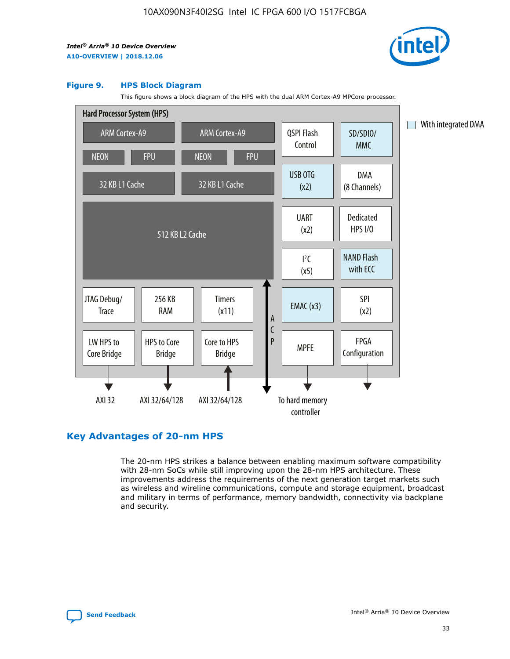

#### **Figure 9. HPS Block Diagram**

This figure shows a block diagram of the HPS with the dual ARM Cortex-A9 MPCore processor.



# **Key Advantages of 20-nm HPS**

The 20-nm HPS strikes a balance between enabling maximum software compatibility with 28-nm SoCs while still improving upon the 28-nm HPS architecture. These improvements address the requirements of the next generation target markets such as wireless and wireline communications, compute and storage equipment, broadcast and military in terms of performance, memory bandwidth, connectivity via backplane and security.

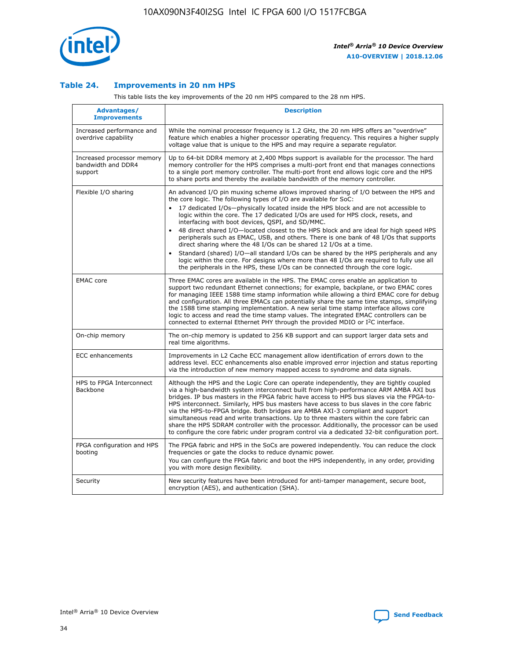

## **Table 24. Improvements in 20 nm HPS**

This table lists the key improvements of the 20 nm HPS compared to the 28 nm HPS.

| Advantages/<br><b>Improvements</b>                          | <b>Description</b>                                                                                                                                                                                                                                                                                                                                                                                                                                                                                                                                                                                                                                                                                                                                                                                                                                                                                                      |
|-------------------------------------------------------------|-------------------------------------------------------------------------------------------------------------------------------------------------------------------------------------------------------------------------------------------------------------------------------------------------------------------------------------------------------------------------------------------------------------------------------------------------------------------------------------------------------------------------------------------------------------------------------------------------------------------------------------------------------------------------------------------------------------------------------------------------------------------------------------------------------------------------------------------------------------------------------------------------------------------------|
| Increased performance and<br>overdrive capability           | While the nominal processor frequency is 1.2 GHz, the 20 nm HPS offers an "overdrive"<br>feature which enables a higher processor operating frequency. This requires a higher supply<br>voltage value that is unique to the HPS and may require a separate regulator.                                                                                                                                                                                                                                                                                                                                                                                                                                                                                                                                                                                                                                                   |
| Increased processor memory<br>bandwidth and DDR4<br>support | Up to 64-bit DDR4 memory at 2,400 Mbps support is available for the processor. The hard<br>memory controller for the HPS comprises a multi-port front end that manages connections<br>to a single port memory controller. The multi-port front end allows logic core and the HPS<br>to share ports and thereby the available bandwidth of the memory controller.                                                                                                                                                                                                                                                                                                                                                                                                                                                                                                                                                        |
| Flexible I/O sharing                                        | An advanced I/O pin muxing scheme allows improved sharing of I/O between the HPS and<br>the core logic. The following types of I/O are available for SoC:<br>17 dedicated I/Os-physically located inside the HPS block and are not accessible to<br>logic within the core. The 17 dedicated I/Os are used for HPS clock, resets, and<br>interfacing with boot devices, QSPI, and SD/MMC.<br>48 direct shared I/O-located closest to the HPS block and are ideal for high speed HPS<br>peripherals such as EMAC, USB, and others. There is one bank of 48 I/Os that supports<br>direct sharing where the 48 I/Os can be shared 12 I/Os at a time.<br>Standard (shared) I/O—all standard I/Os can be shared by the HPS peripherals and any<br>logic within the core. For designs where more than 48 I/Os are required to fully use all<br>the peripherals in the HPS, these I/Os can be connected through the core logic. |
| <b>EMAC</b> core                                            | Three EMAC cores are available in the HPS. The EMAC cores enable an application to<br>support two redundant Ethernet connections; for example, backplane, or two EMAC cores<br>for managing IEEE 1588 time stamp information while allowing a third EMAC core for debug<br>and configuration. All three EMACs can potentially share the same time stamps, simplifying<br>the 1588 time stamping implementation. A new serial time stamp interface allows core<br>logic to access and read the time stamp values. The integrated EMAC controllers can be<br>connected to external Ethernet PHY through the provided MDIO or I <sup>2</sup> C interface.                                                                                                                                                                                                                                                                  |
| On-chip memory                                              | The on-chip memory is updated to 256 KB support and can support larger data sets and<br>real time algorithms.                                                                                                                                                                                                                                                                                                                                                                                                                                                                                                                                                                                                                                                                                                                                                                                                           |
| <b>ECC</b> enhancements                                     | Improvements in L2 Cache ECC management allow identification of errors down to the<br>address level. ECC enhancements also enable improved error injection and status reporting<br>via the introduction of new memory mapped access to syndrome and data signals.                                                                                                                                                                                                                                                                                                                                                                                                                                                                                                                                                                                                                                                       |
| HPS to FPGA Interconnect<br>Backbone                        | Although the HPS and the Logic Core can operate independently, they are tightly coupled<br>via a high-bandwidth system interconnect built from high-performance ARM AMBA AXI bus<br>bridges. IP bus masters in the FPGA fabric have access to HPS bus slaves via the FPGA-to-<br>HPS interconnect. Similarly, HPS bus masters have access to bus slaves in the core fabric<br>via the HPS-to-FPGA bridge. Both bridges are AMBA AXI-3 compliant and support<br>simultaneous read and write transactions. Up to three masters within the core fabric can<br>share the HPS SDRAM controller with the processor. Additionally, the processor can be used<br>to configure the core fabric under program control via a dedicated 32-bit configuration port.                                                                                                                                                                  |
| FPGA configuration and HPS<br>booting                       | The FPGA fabric and HPS in the SoCs are powered independently. You can reduce the clock<br>frequencies or gate the clocks to reduce dynamic power.<br>You can configure the FPGA fabric and boot the HPS independently, in any order, providing<br>you with more design flexibility.                                                                                                                                                                                                                                                                                                                                                                                                                                                                                                                                                                                                                                    |
| Security                                                    | New security features have been introduced for anti-tamper management, secure boot,<br>encryption (AES), and authentication (SHA).                                                                                                                                                                                                                                                                                                                                                                                                                                                                                                                                                                                                                                                                                                                                                                                      |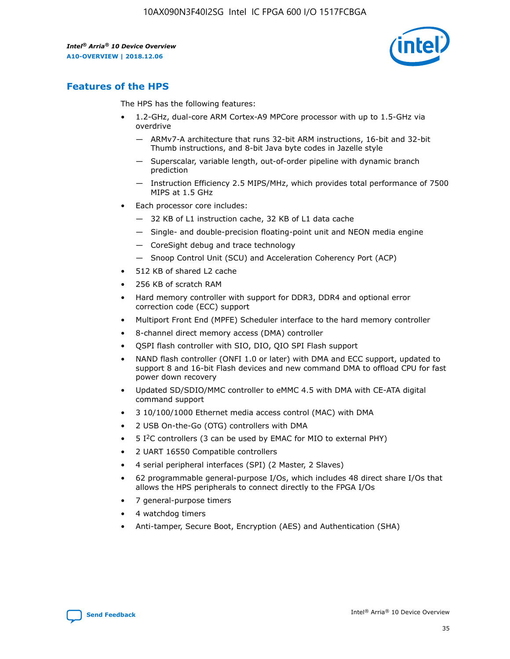

# **Features of the HPS**

The HPS has the following features:

- 1.2-GHz, dual-core ARM Cortex-A9 MPCore processor with up to 1.5-GHz via overdrive
	- ARMv7-A architecture that runs 32-bit ARM instructions, 16-bit and 32-bit Thumb instructions, and 8-bit Java byte codes in Jazelle style
	- Superscalar, variable length, out-of-order pipeline with dynamic branch prediction
	- Instruction Efficiency 2.5 MIPS/MHz, which provides total performance of 7500 MIPS at 1.5 GHz
- Each processor core includes:
	- 32 KB of L1 instruction cache, 32 KB of L1 data cache
	- Single- and double-precision floating-point unit and NEON media engine
	- CoreSight debug and trace technology
	- Snoop Control Unit (SCU) and Acceleration Coherency Port (ACP)
- 512 KB of shared L2 cache
- 256 KB of scratch RAM
- Hard memory controller with support for DDR3, DDR4 and optional error correction code (ECC) support
- Multiport Front End (MPFE) Scheduler interface to the hard memory controller
- 8-channel direct memory access (DMA) controller
- QSPI flash controller with SIO, DIO, QIO SPI Flash support
- NAND flash controller (ONFI 1.0 or later) with DMA and ECC support, updated to support 8 and 16-bit Flash devices and new command DMA to offload CPU for fast power down recovery
- Updated SD/SDIO/MMC controller to eMMC 4.5 with DMA with CE-ATA digital command support
- 3 10/100/1000 Ethernet media access control (MAC) with DMA
- 2 USB On-the-Go (OTG) controllers with DMA
- $\bullet$  5 I<sup>2</sup>C controllers (3 can be used by EMAC for MIO to external PHY)
- 2 UART 16550 Compatible controllers
- 4 serial peripheral interfaces (SPI) (2 Master, 2 Slaves)
- 62 programmable general-purpose I/Os, which includes 48 direct share I/Os that allows the HPS peripherals to connect directly to the FPGA I/Os
- 7 general-purpose timers
- 4 watchdog timers
- Anti-tamper, Secure Boot, Encryption (AES) and Authentication (SHA)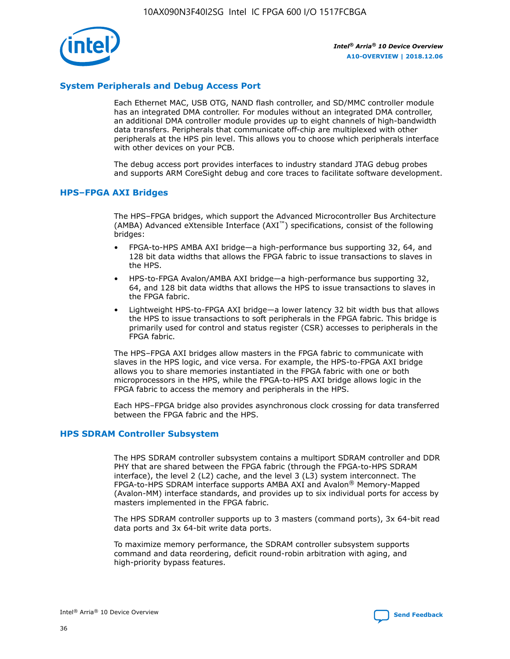

# **System Peripherals and Debug Access Port**

Each Ethernet MAC, USB OTG, NAND flash controller, and SD/MMC controller module has an integrated DMA controller. For modules without an integrated DMA controller, an additional DMA controller module provides up to eight channels of high-bandwidth data transfers. Peripherals that communicate off-chip are multiplexed with other peripherals at the HPS pin level. This allows you to choose which peripherals interface with other devices on your PCB.

The debug access port provides interfaces to industry standard JTAG debug probes and supports ARM CoreSight debug and core traces to facilitate software development.

## **HPS–FPGA AXI Bridges**

The HPS–FPGA bridges, which support the Advanced Microcontroller Bus Architecture (AMBA) Advanced eXtensible Interface (AXI™) specifications, consist of the following bridges:

- FPGA-to-HPS AMBA AXI bridge—a high-performance bus supporting 32, 64, and 128 bit data widths that allows the FPGA fabric to issue transactions to slaves in the HPS.
- HPS-to-FPGA Avalon/AMBA AXI bridge—a high-performance bus supporting 32, 64, and 128 bit data widths that allows the HPS to issue transactions to slaves in the FPGA fabric.
- Lightweight HPS-to-FPGA AXI bridge—a lower latency 32 bit width bus that allows the HPS to issue transactions to soft peripherals in the FPGA fabric. This bridge is primarily used for control and status register (CSR) accesses to peripherals in the FPGA fabric.

The HPS–FPGA AXI bridges allow masters in the FPGA fabric to communicate with slaves in the HPS logic, and vice versa. For example, the HPS-to-FPGA AXI bridge allows you to share memories instantiated in the FPGA fabric with one or both microprocessors in the HPS, while the FPGA-to-HPS AXI bridge allows logic in the FPGA fabric to access the memory and peripherals in the HPS.

Each HPS–FPGA bridge also provides asynchronous clock crossing for data transferred between the FPGA fabric and the HPS.

#### **HPS SDRAM Controller Subsystem**

The HPS SDRAM controller subsystem contains a multiport SDRAM controller and DDR PHY that are shared between the FPGA fabric (through the FPGA-to-HPS SDRAM interface), the level 2 (L2) cache, and the level 3 (L3) system interconnect. The FPGA-to-HPS SDRAM interface supports AMBA AXI and Avalon® Memory-Mapped (Avalon-MM) interface standards, and provides up to six individual ports for access by masters implemented in the FPGA fabric.

The HPS SDRAM controller supports up to 3 masters (command ports), 3x 64-bit read data ports and 3x 64-bit write data ports.

To maximize memory performance, the SDRAM controller subsystem supports command and data reordering, deficit round-robin arbitration with aging, and high-priority bypass features.

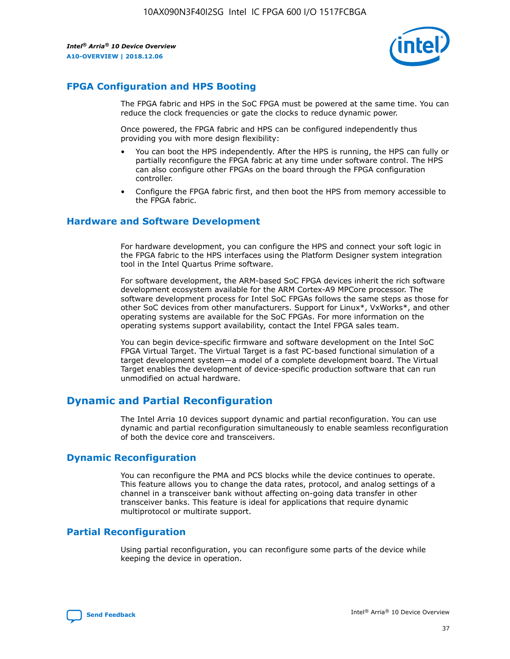

# **FPGA Configuration and HPS Booting**

The FPGA fabric and HPS in the SoC FPGA must be powered at the same time. You can reduce the clock frequencies or gate the clocks to reduce dynamic power.

Once powered, the FPGA fabric and HPS can be configured independently thus providing you with more design flexibility:

- You can boot the HPS independently. After the HPS is running, the HPS can fully or partially reconfigure the FPGA fabric at any time under software control. The HPS can also configure other FPGAs on the board through the FPGA configuration controller.
- Configure the FPGA fabric first, and then boot the HPS from memory accessible to the FPGA fabric.

## **Hardware and Software Development**

For hardware development, you can configure the HPS and connect your soft logic in the FPGA fabric to the HPS interfaces using the Platform Designer system integration tool in the Intel Quartus Prime software.

For software development, the ARM-based SoC FPGA devices inherit the rich software development ecosystem available for the ARM Cortex-A9 MPCore processor. The software development process for Intel SoC FPGAs follows the same steps as those for other SoC devices from other manufacturers. Support for Linux\*, VxWorks\*, and other operating systems are available for the SoC FPGAs. For more information on the operating systems support availability, contact the Intel FPGA sales team.

You can begin device-specific firmware and software development on the Intel SoC FPGA Virtual Target. The Virtual Target is a fast PC-based functional simulation of a target development system—a model of a complete development board. The Virtual Target enables the development of device-specific production software that can run unmodified on actual hardware.

# **Dynamic and Partial Reconfiguration**

The Intel Arria 10 devices support dynamic and partial reconfiguration. You can use dynamic and partial reconfiguration simultaneously to enable seamless reconfiguration of both the device core and transceivers.

# **Dynamic Reconfiguration**

You can reconfigure the PMA and PCS blocks while the device continues to operate. This feature allows you to change the data rates, protocol, and analog settings of a channel in a transceiver bank without affecting on-going data transfer in other transceiver banks. This feature is ideal for applications that require dynamic multiprotocol or multirate support.

# **Partial Reconfiguration**

Using partial reconfiguration, you can reconfigure some parts of the device while keeping the device in operation.

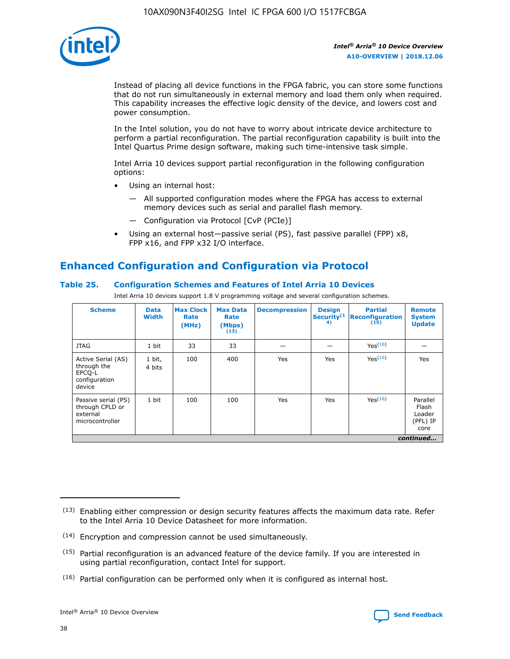

Instead of placing all device functions in the FPGA fabric, you can store some functions that do not run simultaneously in external memory and load them only when required. This capability increases the effective logic density of the device, and lowers cost and power consumption.

In the Intel solution, you do not have to worry about intricate device architecture to perform a partial reconfiguration. The partial reconfiguration capability is built into the Intel Quartus Prime design software, making such time-intensive task simple.

Intel Arria 10 devices support partial reconfiguration in the following configuration options:

- Using an internal host:
	- All supported configuration modes where the FPGA has access to external memory devices such as serial and parallel flash memory.
	- Configuration via Protocol [CvP (PCIe)]
- Using an external host—passive serial (PS), fast passive parallel (FPP) x8, FPP x16, and FPP x32 I/O interface.

# **Enhanced Configuration and Configuration via Protocol**

# **Table 25. Configuration Schemes and Features of Intel Arria 10 Devices**

Intel Arria 10 devices support 1.8 V programming voltage and several configuration schemes.

| <b>Scheme</b>                                                          | <b>Data</b><br><b>Width</b> | <b>Max Clock</b><br>Rate<br>(MHz) | <b>Max Data</b><br>Rate<br>(Mbps)<br>(13) | <b>Decompression</b> | <b>Design</b><br>Security <sup>(1</sup><br>4) | <b>Partial</b><br>Reconfiguration<br>(15) | <b>Remote</b><br><b>System</b><br><b>Update</b> |
|------------------------------------------------------------------------|-----------------------------|-----------------------------------|-------------------------------------------|----------------------|-----------------------------------------------|-------------------------------------------|-------------------------------------------------|
| <b>JTAG</b>                                                            | 1 bit                       | 33                                | 33                                        |                      |                                               | Yes(16)                                   |                                                 |
| Active Serial (AS)<br>through the<br>EPCO-L<br>configuration<br>device | 1 bit,<br>4 bits            | 100                               | 400                                       | Yes                  | Yes                                           | Yes(16)                                   | Yes                                             |
| Passive serial (PS)<br>through CPLD or<br>external<br>microcontroller  | 1 bit                       | 100                               | 100                                       | Yes                  | Yes                                           | Yes <sup>(16)</sup>                       | Parallel<br>Flash<br>Loader<br>(PFL) IP<br>core |
|                                                                        |                             |                                   |                                           |                      |                                               |                                           | continued                                       |

<sup>(13)</sup> Enabling either compression or design security features affects the maximum data rate. Refer to the Intel Arria 10 Device Datasheet for more information.

<sup>(14)</sup> Encryption and compression cannot be used simultaneously.

 $(15)$  Partial reconfiguration is an advanced feature of the device family. If you are interested in using partial reconfiguration, contact Intel for support.

 $(16)$  Partial configuration can be performed only when it is configured as internal host.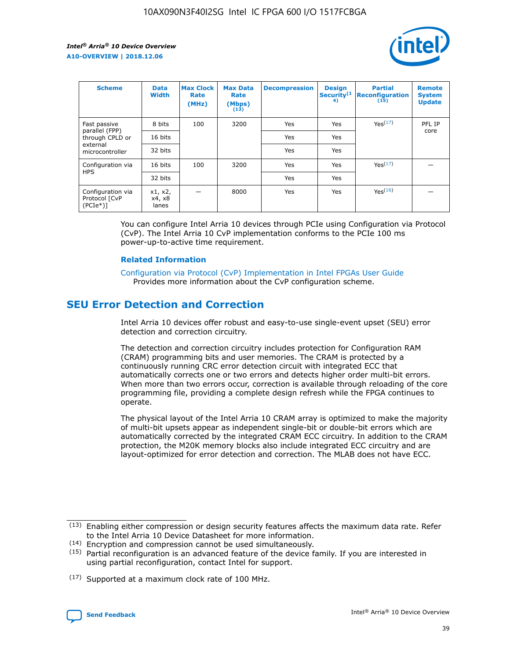

| <b>Scheme</b>                                   | <b>Data</b><br><b>Width</b> | <b>Max Clock</b><br>Rate<br>(MHz) | <b>Max Data</b><br>Rate<br>(Mbps)<br>(13) | <b>Decompression</b> | <b>Design</b><br>Security <sup>(1</sup><br>4) | <b>Partial</b><br><b>Reconfiguration</b><br>(15) | <b>Remote</b><br><b>System</b><br><b>Update</b> |
|-------------------------------------------------|-----------------------------|-----------------------------------|-------------------------------------------|----------------------|-----------------------------------------------|--------------------------------------------------|-------------------------------------------------|
| Fast passive                                    | 8 bits                      | 100                               | 3200                                      | Yes                  | Yes                                           | Yes(17)                                          | PFL IP                                          |
| parallel (FPP)<br>through CPLD or               | 16 bits                     |                                   |                                           | Yes                  | Yes                                           |                                                  | core                                            |
| external<br>microcontroller                     | 32 bits                     |                                   |                                           | Yes                  | Yes                                           |                                                  |                                                 |
| Configuration via                               | 16 bits                     | 100                               | 3200                                      | Yes                  | Yes                                           | Yes <sup>(17)</sup>                              |                                                 |
| <b>HPS</b>                                      | 32 bits                     |                                   |                                           | Yes                  | Yes                                           |                                                  |                                                 |
| Configuration via<br>Protocol [CvP<br>$(PCIe*)$ | x1, x2,<br>x4, x8<br>lanes  |                                   | 8000                                      | Yes                  | Yes                                           | Yes(16)                                          |                                                 |

You can configure Intel Arria 10 devices through PCIe using Configuration via Protocol (CvP). The Intel Arria 10 CvP implementation conforms to the PCIe 100 ms power-up-to-active time requirement.

#### **Related Information**

[Configuration via Protocol \(CvP\) Implementation in Intel FPGAs User Guide](https://www.intel.com/content/www/us/en/programmable/documentation/dsu1441819344145.html#dsu1442269728522) Provides more information about the CvP configuration scheme.

# **SEU Error Detection and Correction**

Intel Arria 10 devices offer robust and easy-to-use single-event upset (SEU) error detection and correction circuitry.

The detection and correction circuitry includes protection for Configuration RAM (CRAM) programming bits and user memories. The CRAM is protected by a continuously running CRC error detection circuit with integrated ECC that automatically corrects one or two errors and detects higher order multi-bit errors. When more than two errors occur, correction is available through reloading of the core programming file, providing a complete design refresh while the FPGA continues to operate.

The physical layout of the Intel Arria 10 CRAM array is optimized to make the majority of multi-bit upsets appear as independent single-bit or double-bit errors which are automatically corrected by the integrated CRAM ECC circuitry. In addition to the CRAM protection, the M20K memory blocks also include integrated ECC circuitry and are layout-optimized for error detection and correction. The MLAB does not have ECC.

(14) Encryption and compression cannot be used simultaneously.

<sup>(17)</sup> Supported at a maximum clock rate of 100 MHz.



 $(13)$  Enabling either compression or design security features affects the maximum data rate. Refer to the Intel Arria 10 Device Datasheet for more information.

 $(15)$  Partial reconfiguration is an advanced feature of the device family. If you are interested in using partial reconfiguration, contact Intel for support.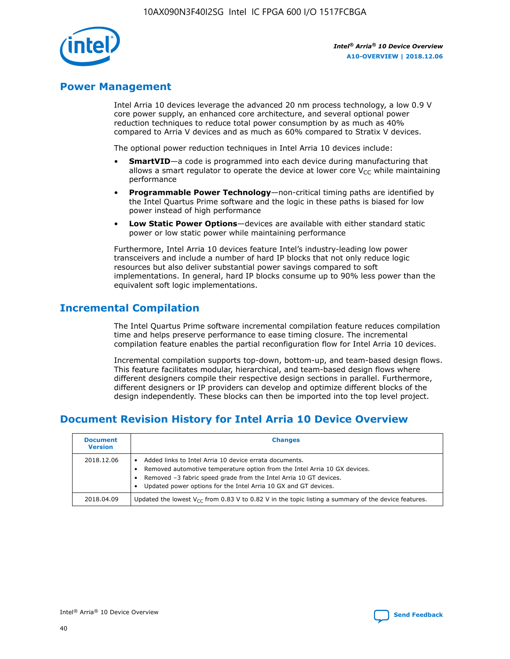

# **Power Management**

Intel Arria 10 devices leverage the advanced 20 nm process technology, a low 0.9 V core power supply, an enhanced core architecture, and several optional power reduction techniques to reduce total power consumption by as much as 40% compared to Arria V devices and as much as 60% compared to Stratix V devices.

The optional power reduction techniques in Intel Arria 10 devices include:

- **SmartVID**—a code is programmed into each device during manufacturing that allows a smart regulator to operate the device at lower core  $V_{CC}$  while maintaining performance
- **Programmable Power Technology**—non-critical timing paths are identified by the Intel Quartus Prime software and the logic in these paths is biased for low power instead of high performance
- **Low Static Power Options**—devices are available with either standard static power or low static power while maintaining performance

Furthermore, Intel Arria 10 devices feature Intel's industry-leading low power transceivers and include a number of hard IP blocks that not only reduce logic resources but also deliver substantial power savings compared to soft implementations. In general, hard IP blocks consume up to 90% less power than the equivalent soft logic implementations.

# **Incremental Compilation**

The Intel Quartus Prime software incremental compilation feature reduces compilation time and helps preserve performance to ease timing closure. The incremental compilation feature enables the partial reconfiguration flow for Intel Arria 10 devices.

Incremental compilation supports top-down, bottom-up, and team-based design flows. This feature facilitates modular, hierarchical, and team-based design flows where different designers compile their respective design sections in parallel. Furthermore, different designers or IP providers can develop and optimize different blocks of the design independently. These blocks can then be imported into the top level project.

# **Document Revision History for Intel Arria 10 Device Overview**

| <b>Document</b><br><b>Version</b> | <b>Changes</b>                                                                                                                                                                                                                                                              |
|-----------------------------------|-----------------------------------------------------------------------------------------------------------------------------------------------------------------------------------------------------------------------------------------------------------------------------|
| 2018.12.06                        | Added links to Intel Arria 10 device errata documents.<br>Removed automotive temperature option from the Intel Arria 10 GX devices.<br>Removed -3 fabric speed grade from the Intel Arria 10 GT devices.<br>Updated power options for the Intel Arria 10 GX and GT devices. |
| 2018.04.09                        | Updated the lowest $V_{CC}$ from 0.83 V to 0.82 V in the topic listing a summary of the device features.                                                                                                                                                                    |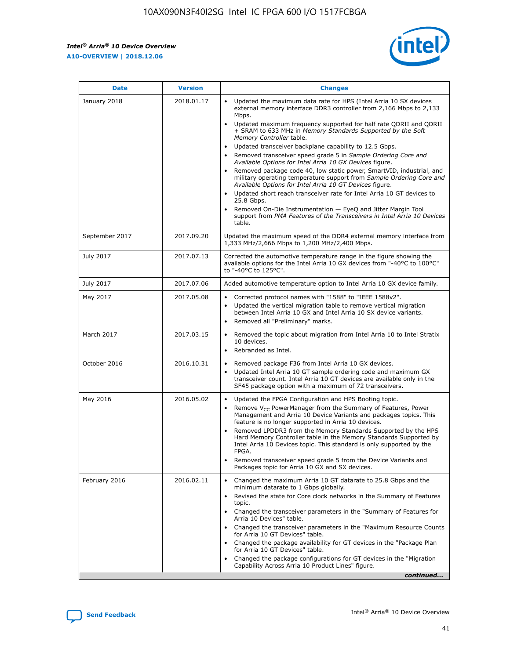*Intel® Arria® 10 Device Overview* **A10-OVERVIEW | 2018.12.06**



| <b>Date</b>    | <b>Version</b> | <b>Changes</b>                                                                                                                                                                                                                                                                                                                                                                                                                                                                                                                                                                                                                                                                                                                                                                                                                                                                                                                                                            |
|----------------|----------------|---------------------------------------------------------------------------------------------------------------------------------------------------------------------------------------------------------------------------------------------------------------------------------------------------------------------------------------------------------------------------------------------------------------------------------------------------------------------------------------------------------------------------------------------------------------------------------------------------------------------------------------------------------------------------------------------------------------------------------------------------------------------------------------------------------------------------------------------------------------------------------------------------------------------------------------------------------------------------|
| January 2018   | 2018.01.17     | Updated the maximum data rate for HPS (Intel Arria 10 SX devices<br>external memory interface DDR3 controller from 2,166 Mbps to 2,133<br>Mbps.<br>Updated maximum frequency supported for half rate QDRII and QDRII<br>+ SRAM to 633 MHz in Memory Standards Supported by the Soft<br>Memory Controller table.<br>Updated transceiver backplane capability to 12.5 Gbps.<br>$\bullet$<br>Removed transceiver speed grade 5 in Sample Ordering Core and<br>Available Options for Intel Arria 10 GX Devices figure.<br>Removed package code 40, low static power, SmartVID, industrial, and<br>military operating temperature support from Sample Ordering Core and<br>Available Options for Intel Arria 10 GT Devices figure.<br>Updated short reach transceiver rate for Intel Arria 10 GT devices to<br>25.8 Gbps.<br>Removed On-Die Instrumentation - EyeQ and Jitter Margin Tool<br>support from PMA Features of the Transceivers in Intel Arria 10 Devices<br>table. |
| September 2017 | 2017.09.20     | Updated the maximum speed of the DDR4 external memory interface from<br>1,333 MHz/2,666 Mbps to 1,200 MHz/2,400 Mbps.                                                                                                                                                                                                                                                                                                                                                                                                                                                                                                                                                                                                                                                                                                                                                                                                                                                     |
| July 2017      | 2017.07.13     | Corrected the automotive temperature range in the figure showing the<br>available options for the Intel Arria 10 GX devices from "-40°C to 100°C"<br>to "-40°C to 125°C".                                                                                                                                                                                                                                                                                                                                                                                                                                                                                                                                                                                                                                                                                                                                                                                                 |
| July 2017      | 2017.07.06     | Added automotive temperature option to Intel Arria 10 GX device family.                                                                                                                                                                                                                                                                                                                                                                                                                                                                                                                                                                                                                                                                                                                                                                                                                                                                                                   |
| May 2017       | 2017.05.08     | Corrected protocol names with "1588" to "IEEE 1588v2".<br>$\bullet$<br>Updated the vertical migration table to remove vertical migration<br>$\bullet$<br>between Intel Arria 10 GX and Intel Arria 10 SX device variants.<br>Removed all "Preliminary" marks.<br>$\bullet$                                                                                                                                                                                                                                                                                                                                                                                                                                                                                                                                                                                                                                                                                                |
| March 2017     | 2017.03.15     | Removed the topic about migration from Intel Arria 10 to Intel Stratix<br>10 devices.<br>Rebranded as Intel.<br>$\bullet$                                                                                                                                                                                                                                                                                                                                                                                                                                                                                                                                                                                                                                                                                                                                                                                                                                                 |
| October 2016   | 2016.10.31     | Removed package F36 from Intel Arria 10 GX devices.<br>Updated Intel Arria 10 GT sample ordering code and maximum GX<br>$\bullet$<br>transceiver count. Intel Arria 10 GT devices are available only in the<br>SF45 package option with a maximum of 72 transceivers.                                                                                                                                                                                                                                                                                                                                                                                                                                                                                                                                                                                                                                                                                                     |
| May 2016       | 2016.05.02     | Updated the FPGA Configuration and HPS Booting topic.<br>$\bullet$<br>Remove V <sub>CC</sub> PowerManager from the Summary of Features, Power<br>Management and Arria 10 Device Variants and packages topics. This<br>feature is no longer supported in Arria 10 devices.<br>Removed LPDDR3 from the Memory Standards Supported by the HPS<br>Hard Memory Controller table in the Memory Standards Supported by<br>Intel Arria 10 Devices topic. This standard is only supported by the<br>FPGA.<br>Removed transceiver speed grade 5 from the Device Variants and<br>Packages topic for Arria 10 GX and SX devices.                                                                                                                                                                                                                                                                                                                                                      |
| February 2016  | 2016.02.11     | Changed the maximum Arria 10 GT datarate to 25.8 Gbps and the<br>minimum datarate to 1 Gbps globally.<br>Revised the state for Core clock networks in the Summary of Features<br>$\bullet$<br>topic.<br>Changed the transceiver parameters in the "Summary of Features for<br>$\bullet$<br>Arria 10 Devices" table.<br>• Changed the transceiver parameters in the "Maximum Resource Counts<br>for Arria 10 GT Devices" table.<br>Changed the package availability for GT devices in the "Package Plan<br>for Arria 10 GT Devices" table.<br>Changed the package configurations for GT devices in the "Migration"<br>Capability Across Arria 10 Product Lines" figure.<br>continued                                                                                                                                                                                                                                                                                       |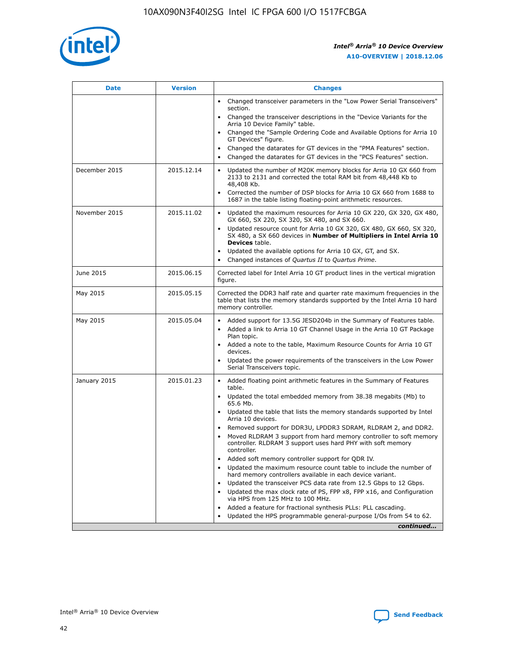

| <b>Date</b>   | <b>Version</b> | <b>Changes</b>                                                                                                                                                               |
|---------------|----------------|------------------------------------------------------------------------------------------------------------------------------------------------------------------------------|
|               |                | • Changed transceiver parameters in the "Low Power Serial Transceivers"<br>section.                                                                                          |
|               |                | • Changed the transceiver descriptions in the "Device Variants for the<br>Arria 10 Device Family" table.                                                                     |
|               |                | Changed the "Sample Ordering Code and Available Options for Arria 10<br>$\bullet$<br>GT Devices" figure.                                                                     |
|               |                | Changed the datarates for GT devices in the "PMA Features" section.                                                                                                          |
|               |                | Changed the datarates for GT devices in the "PCS Features" section.<br>$\bullet$                                                                                             |
| December 2015 | 2015.12.14     | Updated the number of M20K memory blocks for Arria 10 GX 660 from<br>2133 to 2131 and corrected the total RAM bit from 48,448 Kb to<br>48,408 Kb.                            |
|               |                | Corrected the number of DSP blocks for Arria 10 GX 660 from 1688 to<br>1687 in the table listing floating-point arithmetic resources.                                        |
| November 2015 | 2015.11.02     | Updated the maximum resources for Arria 10 GX 220, GX 320, GX 480,<br>$\bullet$<br>GX 660, SX 220, SX 320, SX 480, and SX 660.                                               |
|               |                | • Updated resource count for Arria 10 GX 320, GX 480, GX 660, SX 320,<br>SX 480, a SX 660 devices in Number of Multipliers in Intel Arria 10<br><b>Devices</b> table.        |
|               |                | Updated the available options for Arria 10 GX, GT, and SX.                                                                                                                   |
|               |                | Changed instances of Quartus II to Quartus Prime.<br>$\bullet$                                                                                                               |
| June 2015     | 2015.06.15     | Corrected label for Intel Arria 10 GT product lines in the vertical migration<br>figure.                                                                                     |
| May 2015      | 2015.05.15     | Corrected the DDR3 half rate and quarter rate maximum frequencies in the<br>table that lists the memory standards supported by the Intel Arria 10 hard<br>memory controller. |
| May 2015      | 2015.05.04     | • Added support for 13.5G JESD204b in the Summary of Features table.                                                                                                         |
|               |                | • Added a link to Arria 10 GT Channel Usage in the Arria 10 GT Package<br>Plan topic.                                                                                        |
|               |                | • Added a note to the table, Maximum Resource Counts for Arria 10 GT<br>devices.                                                                                             |
|               |                | • Updated the power requirements of the transceivers in the Low Power<br>Serial Transceivers topic.                                                                          |
| January 2015  | 2015.01.23     | • Added floating point arithmetic features in the Summary of Features<br>table.                                                                                              |
|               |                | • Updated the total embedded memory from 38.38 megabits (Mb) to<br>65.6 Mb.                                                                                                  |
|               |                | • Updated the table that lists the memory standards supported by Intel<br>Arria 10 devices.                                                                                  |
|               |                | Removed support for DDR3U, LPDDR3 SDRAM, RLDRAM 2, and DDR2.                                                                                                                 |
|               |                | Moved RLDRAM 3 support from hard memory controller to soft memory<br>controller. RLDRAM 3 support uses hard PHY with soft memory<br>controller.                              |
|               |                | Added soft memory controller support for QDR IV.<br>٠                                                                                                                        |
|               |                | Updated the maximum resource count table to include the number of<br>hard memory controllers available in each device variant.                                               |
|               |                | Updated the transceiver PCS data rate from 12.5 Gbps to 12 Gbps.<br>$\bullet$                                                                                                |
|               |                | Updated the max clock rate of PS, FPP x8, FPP x16, and Configuration<br>via HPS from 125 MHz to 100 MHz.                                                                     |
|               |                | Added a feature for fractional synthesis PLLs: PLL cascading.                                                                                                                |
|               |                | Updated the HPS programmable general-purpose I/Os from 54 to 62.<br>$\bullet$                                                                                                |
|               |                | continued                                                                                                                                                                    |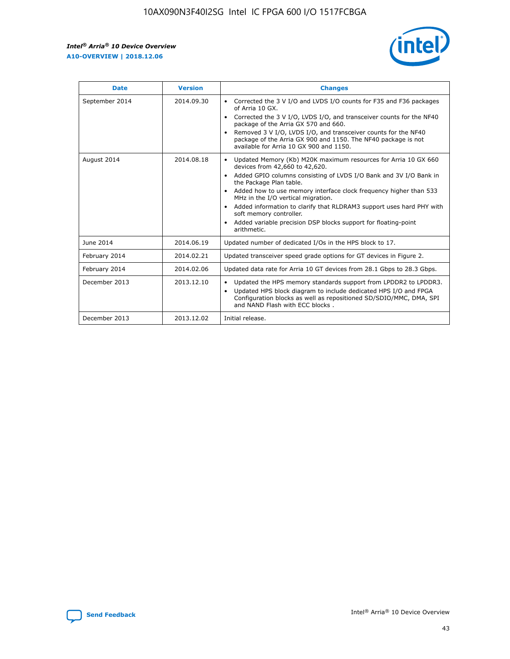r



| <b>Date</b>    | <b>Version</b> | <b>Changes</b>                                                                                                                                                                                                                                                                                                                                                                                                                                                                                                                                      |
|----------------|----------------|-----------------------------------------------------------------------------------------------------------------------------------------------------------------------------------------------------------------------------------------------------------------------------------------------------------------------------------------------------------------------------------------------------------------------------------------------------------------------------------------------------------------------------------------------------|
| September 2014 | 2014.09.30     | Corrected the 3 V I/O and LVDS I/O counts for F35 and F36 packages<br>$\bullet$<br>of Arria 10 GX.<br>Corrected the 3 V I/O, LVDS I/O, and transceiver counts for the NF40<br>$\bullet$<br>package of the Arria GX 570 and 660.<br>Removed 3 V I/O, LVDS I/O, and transceiver counts for the NF40<br>package of the Arria GX 900 and 1150. The NF40 package is not<br>available for Arria 10 GX 900 and 1150.                                                                                                                                       |
| August 2014    | 2014.08.18     | Updated Memory (Kb) M20K maximum resources for Arria 10 GX 660<br>devices from 42,660 to 42,620.<br>Added GPIO columns consisting of LVDS I/O Bank and 3V I/O Bank in<br>$\bullet$<br>the Package Plan table.<br>Added how to use memory interface clock frequency higher than 533<br>$\bullet$<br>MHz in the I/O vertical migration.<br>Added information to clarify that RLDRAM3 support uses hard PHY with<br>$\bullet$<br>soft memory controller.<br>Added variable precision DSP blocks support for floating-point<br>$\bullet$<br>arithmetic. |
| June 2014      | 2014.06.19     | Updated number of dedicated I/Os in the HPS block to 17.                                                                                                                                                                                                                                                                                                                                                                                                                                                                                            |
| February 2014  | 2014.02.21     | Updated transceiver speed grade options for GT devices in Figure 2.                                                                                                                                                                                                                                                                                                                                                                                                                                                                                 |
| February 2014  | 2014.02.06     | Updated data rate for Arria 10 GT devices from 28.1 Gbps to 28.3 Gbps.                                                                                                                                                                                                                                                                                                                                                                                                                                                                              |
| December 2013  | 2013.12.10     | Updated the HPS memory standards support from LPDDR2 to LPDDR3.<br>Updated HPS block diagram to include dedicated HPS I/O and FPGA<br>$\bullet$<br>Configuration blocks as well as repositioned SD/SDIO/MMC, DMA, SPI<br>and NAND Flash with ECC blocks.                                                                                                                                                                                                                                                                                            |
| December 2013  | 2013.12.02     | Initial release.                                                                                                                                                                                                                                                                                                                                                                                                                                                                                                                                    |